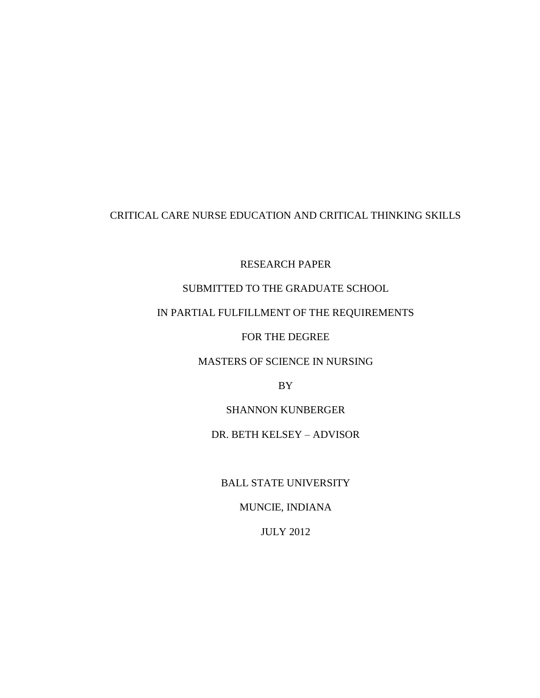# CRITICAL CARE NURSE EDUCATION AND CRITICAL THINKING SKILLS

RESEARCH PAPER

# SUBMITTED TO THE GRADUATE SCHOOL

# IN PARTIAL FULFILLMENT OF THE REQUIREMENTS

FOR THE DEGREE

# MASTERS OF SCIENCE IN NURSING

BY

SHANNON KUNBERGER

# DR. BETH KELSEY – ADVISOR

BALL STATE UNIVERSITY

MUNCIE, INDIANA

JULY 2012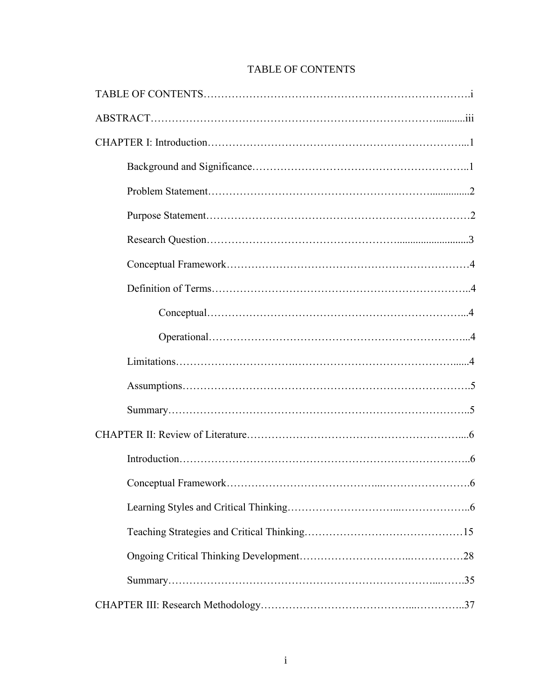# TABLE OF CONTENTS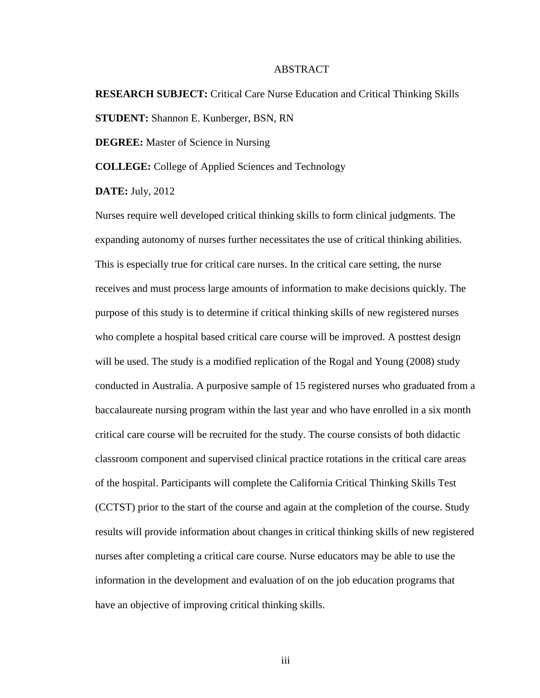# ABSTRACT

# **RESEARCH SUBJECT:** Critical Care Nurse Education and Critical Thinking Skills **STUDENT:** Shannon E. Kunberger, BSN, RN

**DEGREE:** Master of Science in Nursing

**COLLEGE:** College of Applied Sciences and Technology

**DATE:** July, 2012

Nurses require well developed critical thinking skills to form clinical judgments. The expanding autonomy of nurses further necessitates the use of critical thinking abilities. This is especially true for critical care nurses. In the critical care setting, the nurse receives and must process large amounts of information to make decisions quickly. The purpose of this study is to determine if critical thinking skills of new registered nurses who complete a hospital based critical care course will be improved. A posttest design will be used. The study is a modified replication of the Rogal and Young (2008) study conducted in Australia. A purposive sample of 15 registered nurses who graduated from a baccalaureate nursing program within the last year and who have enrolled in a six month critical care course will be recruited for the study. The course consists of both didactic classroom component and supervised clinical practice rotations in the critical care areas of the hospital. Participants will complete the California Critical Thinking Skills Test (CCTST) prior to the start of the course and again at the completion of the course. Study results will provide information about changes in critical thinking skills of new registered nurses after completing a critical care course. Nurse educators may be able to use the information in the development and evaluation of on the job education programs that have an objective of improving critical thinking skills.

iii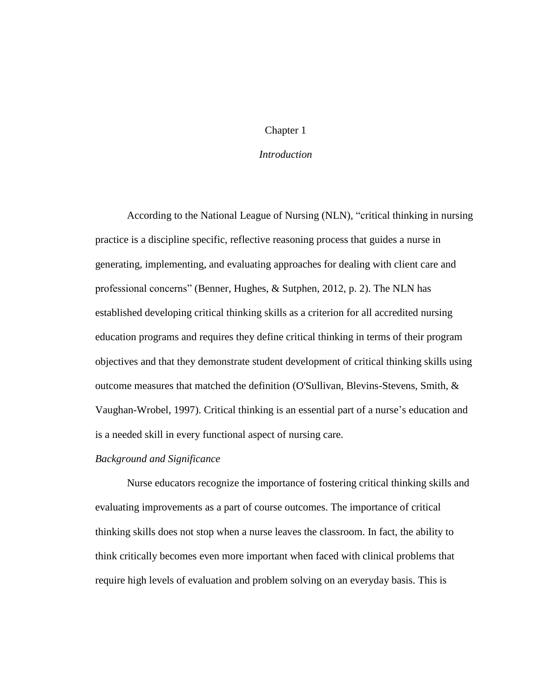# Chapter 1

## *Introduction*

According to the National League of Nursing (NLN), "critical thinking in nursing practice is a discipline specific, reflective reasoning process that guides a nurse in generating, implementing, and evaluating approaches for dealing with client care and professional concerns" (Benner, Hughes, & Sutphen, 2012, p. 2). The NLN has established developing critical thinking skills as a criterion for all accredited nursing education programs and requires they define critical thinking in terms of their program objectives and that they demonstrate student development of critical thinking skills using outcome measures that matched the definition (O'Sullivan, Blevins-Stevens, Smith, & Vaughan-Wrobel, 1997). Critical thinking is an essential part of a nurse's education and is a needed skill in every functional aspect of nursing care.

#### *Background and Significance*

Nurse educators recognize the importance of fostering critical thinking skills and evaluating improvements as a part of course outcomes. The importance of critical thinking skills does not stop when a nurse leaves the classroom. In fact, the ability to think critically becomes even more important when faced with clinical problems that require high levels of evaluation and problem solving on an everyday basis. This is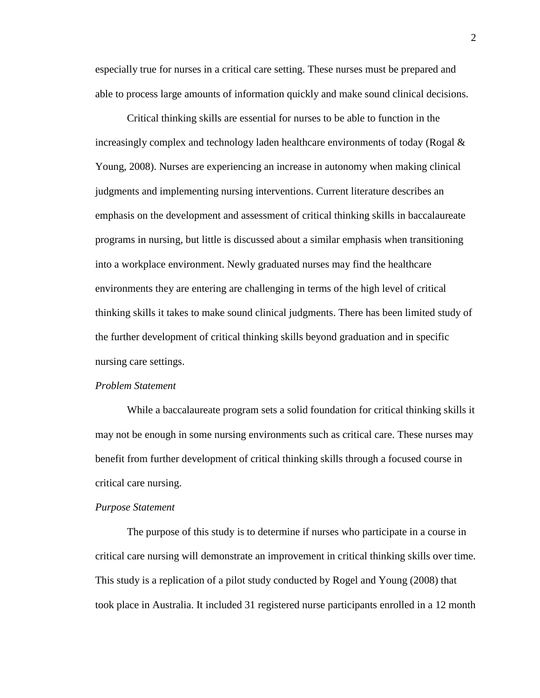especially true for nurses in a critical care setting. These nurses must be prepared and able to process large amounts of information quickly and make sound clinical decisions.

Critical thinking skills are essential for nurses to be able to function in the increasingly complex and technology laden healthcare environments of today (Rogal  $\&$ Young, 2008). Nurses are experiencing an increase in autonomy when making clinical judgments and implementing nursing interventions. Current literature describes an emphasis on the development and assessment of critical thinking skills in baccalaureate programs in nursing, but little is discussed about a similar emphasis when transitioning into a workplace environment. Newly graduated nurses may find the healthcare environments they are entering are challenging in terms of the high level of critical thinking skills it takes to make sound clinical judgments. There has been limited study of the further development of critical thinking skills beyond graduation and in specific nursing care settings.

## *Problem Statement*

While a baccalaureate program sets a solid foundation for critical thinking skills it may not be enough in some nursing environments such as critical care. These nurses may benefit from further development of critical thinking skills through a focused course in critical care nursing.

#### *Purpose Statement*

The purpose of this study is to determine if nurses who participate in a course in critical care nursing will demonstrate an improvement in critical thinking skills over time. This study is a replication of a pilot study conducted by Rogel and Young (2008) that took place in Australia. It included 31 registered nurse participants enrolled in a 12 month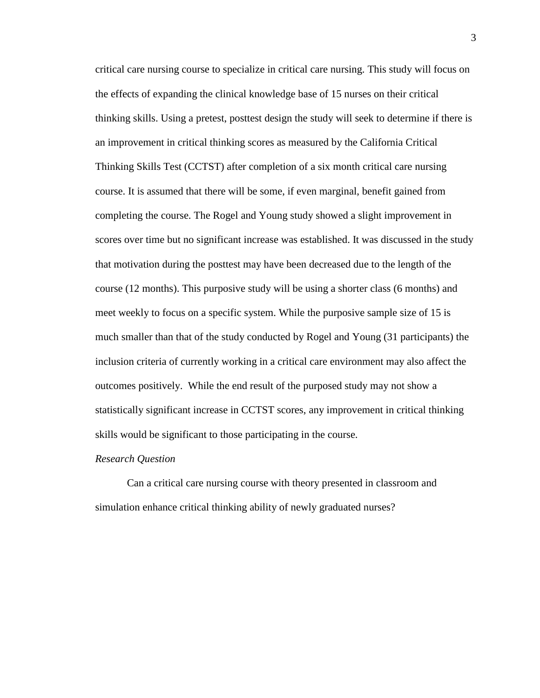critical care nursing course to specialize in critical care nursing. This study will focus on the effects of expanding the clinical knowledge base of 15 nurses on their critical thinking skills. Using a pretest, posttest design the study will seek to determine if there is an improvement in critical thinking scores as measured by the California Critical Thinking Skills Test (CCTST) after completion of a six month critical care nursing course. It is assumed that there will be some, if even marginal, benefit gained from completing the course. The Rogel and Young study showed a slight improvement in scores over time but no significant increase was established. It was discussed in the study that motivation during the posttest may have been decreased due to the length of the course (12 months). This purposive study will be using a shorter class (6 months) and meet weekly to focus on a specific system. While the purposive sample size of 15 is much smaller than that of the study conducted by Rogel and Young (31 participants) the inclusion criteria of currently working in a critical care environment may also affect the outcomes positively. While the end result of the purposed study may not show a statistically significant increase in CCTST scores, any improvement in critical thinking skills would be significant to those participating in the course.

#### *Research Question*

Can a critical care nursing course with theory presented in classroom and simulation enhance critical thinking ability of newly graduated nurses?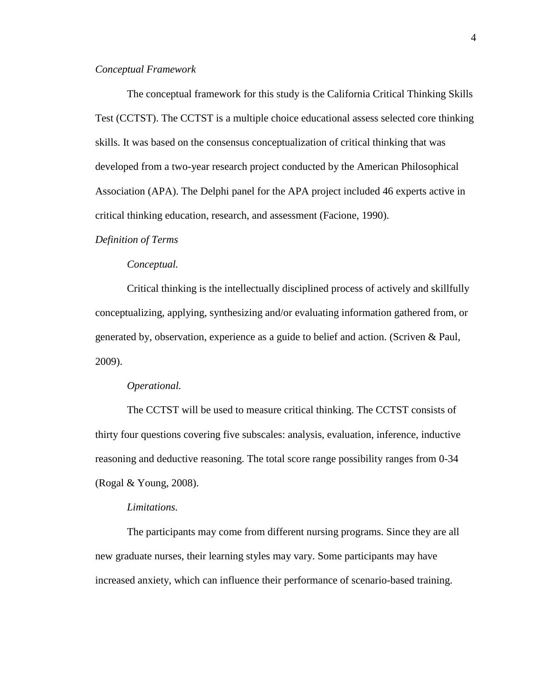## *Conceptual Framework*

The conceptual framework for this study is the California Critical Thinking Skills Test (CCTST). The CCTST is a multiple choice educational assess selected core thinking skills. It was based on the consensus conceptualization of critical thinking that was developed from a two-year research project conducted by the American Philosophical Association (APA). The Delphi panel for the APA project included 46 experts active in critical thinking education, research, and assessment (Facione, 1990).

## *Definition of Terms*

## *Conceptual.*

Critical thinking is the intellectually disciplined process of actively and skillfully conceptualizing, applying, synthesizing and/or evaluating information gathered from, or generated by, observation, experience as a guide to belief and action. (Scriven & Paul, 2009).

#### *Operational.*

The CCTST will be used to measure critical thinking. The CCTST consists of thirty four questions covering five subscales: analysis, evaluation, inference, inductive reasoning and deductive reasoning. The total score range possibility ranges from 0-34 (Rogal & Young, 2008).

## *Limitations.*

The participants may come from different nursing programs. Since they are all new graduate nurses, their learning styles may vary. Some participants may have increased anxiety, which can influence their performance of scenario-based training.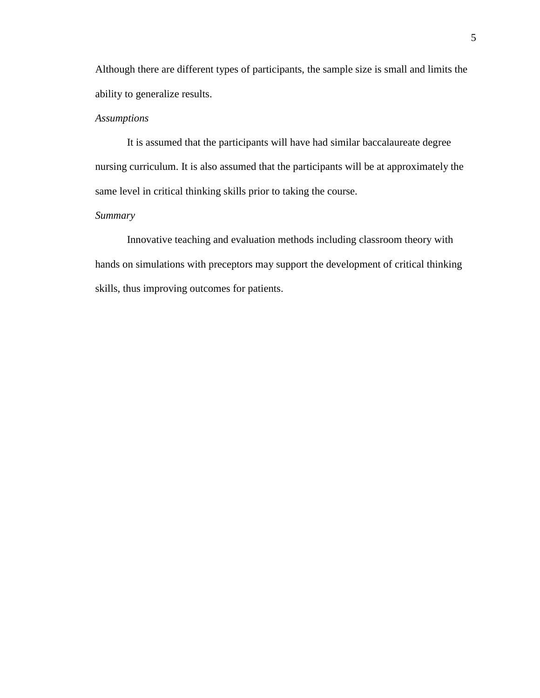Although there are different types of participants, the sample size is small and limits the ability to generalize results.

# *Assumptions*

It is assumed that the participants will have had similar baccalaureate degree nursing curriculum. It is also assumed that the participants will be at approximately the same level in critical thinking skills prior to taking the course.

# *Summary*

Innovative teaching and evaluation methods including classroom theory with hands on simulations with preceptors may support the development of critical thinking skills, thus improving outcomes for patients.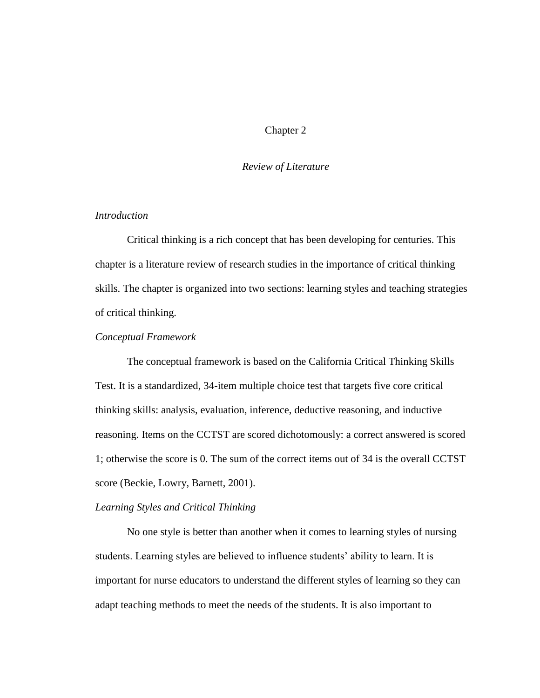# Chapter 2

#### *Review of Literature*

# *Introduction*

Critical thinking is a rich concept that has been developing for centuries. This chapter is a literature review of research studies in the importance of critical thinking skills. The chapter is organized into two sections: learning styles and teaching strategies of critical thinking.

# *Conceptual Framework*

The conceptual framework is based on the California Critical Thinking Skills Test. It is a standardized, 34-item multiple choice test that targets five core critical thinking skills: analysis, evaluation, inference, deductive reasoning, and inductive reasoning. Items on the CCTST are scored dichotomously: a correct answered is scored 1; otherwise the score is 0. The sum of the correct items out of 34 is the overall CCTST score (Beckie, Lowry, Barnett, 2001).

#### *Learning Styles and Critical Thinking*

No one style is better than another when it comes to learning styles of nursing students. Learning styles are believed to influence students' ability to learn. It is important for nurse educators to understand the different styles of learning so they can adapt teaching methods to meet the needs of the students. It is also important to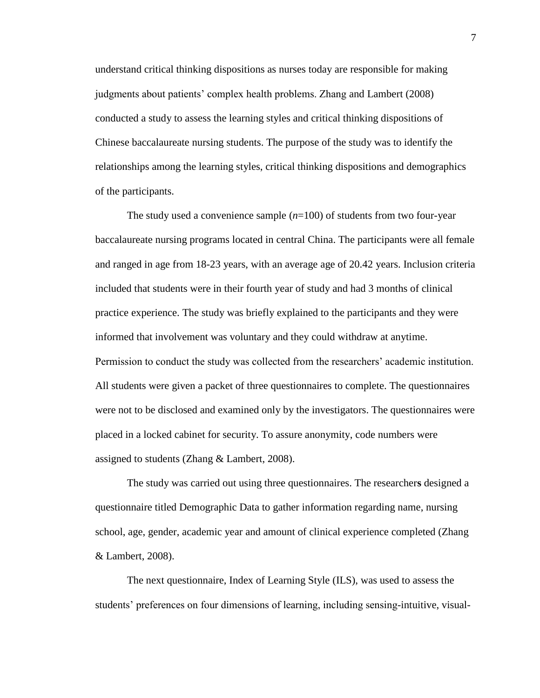understand critical thinking dispositions as nurses today are responsible for making judgments about patients' complex health problems. Zhang and Lambert (2008) conducted a study to assess the learning styles and critical thinking dispositions of Chinese baccalaureate nursing students. The purpose of the study was to identify the relationships among the learning styles, critical thinking dispositions and demographics of the participants.

The study used a convenience sample (*n*=100) of students from two four-year baccalaureate nursing programs located in central China. The participants were all female and ranged in age from 18-23 years, with an average age of 20.42 years. Inclusion criteria included that students were in their fourth year of study and had 3 months of clinical practice experience. The study was briefly explained to the participants and they were informed that involvement was voluntary and they could withdraw at anytime. Permission to conduct the study was collected from the researchers' academic institution. All students were given a packet of three questionnaires to complete. The questionnaires were not to be disclosed and examined only by the investigators. The questionnaires were placed in a locked cabinet for security. To assure anonymity, code numbers were assigned to students (Zhang & Lambert, 2008).

The study was carried out using three questionnaires. The researcher**s** designed a questionnaire titled Demographic Data to gather information regarding name, nursing school, age, gender, academic year and amount of clinical experience completed (Zhang & Lambert, 2008).

The next questionnaire, Index of Learning Style (ILS), was used to assess the students' preferences on four dimensions of learning, including sensing-intuitive, visual-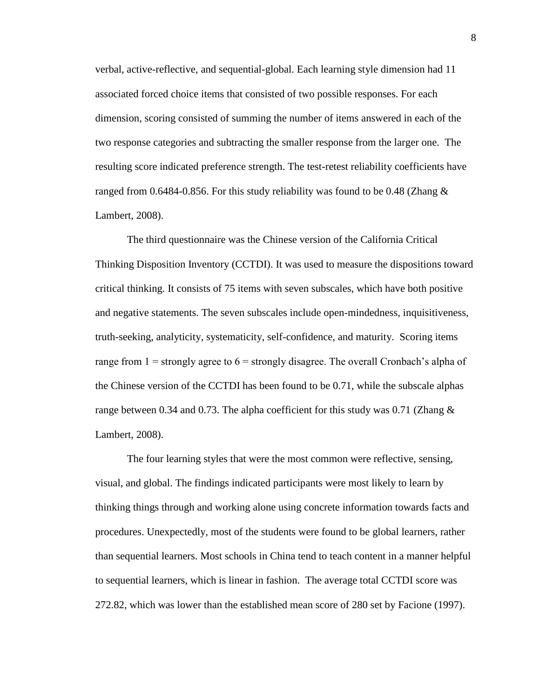verbal, active-reflective, and sequential-global. Each learning style dimension had 11 associated forced choice items that consisted of two possible responses. For each dimension, scoring consisted of summing the number of items answered in each of the two response categories and subtracting the smaller response from the larger one. The resulting score indicated preference strength. The test-retest reliability coefficients have ranged from 0.6484-0.856. For this study reliability was found to be 0.48 (Zhang  $\&$ Lambert, 2008).

The third questionnaire was the Chinese version of the California Critical Thinking Disposition Inventory (CCTDI). It was used to measure the dispositions toward critical thinking. It consists of 75 items with seven subscales, which have both positive and negative statements. The seven subscales include open-mindedness, inquisitiveness, truth-seeking, analyticity, systematicity, self-confidence, and maturity. Scoring items range from  $1 =$  strongly agree to  $6 =$  strongly disagree. The overall Cronbach's alpha of the Chinese version of the CCTDI has been found to be 0.71, while the subscale alphas range between 0.34 and 0.73. The alpha coefficient for this study was 0.71 (Zhang  $\&$ Lambert, 2008).

The four learning styles that were the most common were reflective, sensing, visual, and global. The findings indicated participants were most likely to learn by thinking things through and working alone using concrete information towards facts and procedures. Unexpectedly, most of the students were found to be global learners, rather than sequential learners. Most schools in China tend to teach content in a manner helpful to sequential learners, which is linear in fashion. The average total CCTDI score was 272.82, which was lower than the established mean score of 280 set by Facione (1997).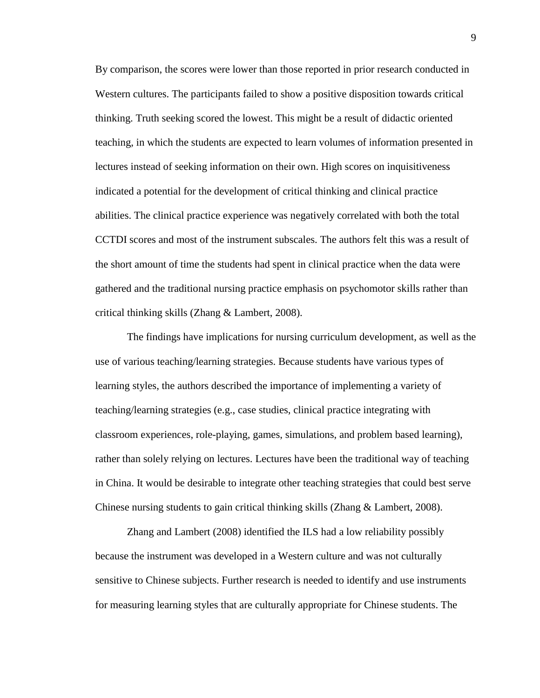By comparison, the scores were lower than those reported in prior research conducted in Western cultures. The participants failed to show a positive disposition towards critical thinking. Truth seeking scored the lowest. This might be a result of didactic oriented teaching, in which the students are expected to learn volumes of information presented in lectures instead of seeking information on their own. High scores on inquisitiveness indicated a potential for the development of critical thinking and clinical practice abilities. The clinical practice experience was negatively correlated with both the total CCTDI scores and most of the instrument subscales. The authors felt this was a result of the short amount of time the students had spent in clinical practice when the data were gathered and the traditional nursing practice emphasis on psychomotor skills rather than critical thinking skills (Zhang & Lambert, 2008).

The findings have implications for nursing curriculum development, as well as the use of various teaching/learning strategies. Because students have various types of learning styles, the authors described the importance of implementing a variety of teaching/learning strategies (e.g., case studies, clinical practice integrating with classroom experiences, role-playing, games, simulations, and problem based learning), rather than solely relying on lectures. Lectures have been the traditional way of teaching in China. It would be desirable to integrate other teaching strategies that could best serve Chinese nursing students to gain critical thinking skills (Zhang & Lambert, 2008).

Zhang and Lambert (2008) identified the ILS had a low reliability possibly because the instrument was developed in a Western culture and was not culturally sensitive to Chinese subjects. Further research is needed to identify and use instruments for measuring learning styles that are culturally appropriate for Chinese students. The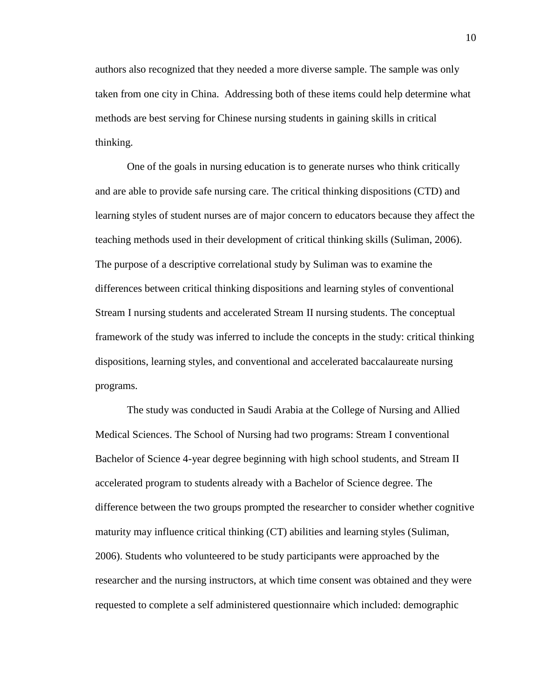authors also recognized that they needed a more diverse sample. The sample was only taken from one city in China. Addressing both of these items could help determine what methods are best serving for Chinese nursing students in gaining skills in critical thinking.

One of the goals in nursing education is to generate nurses who think critically and are able to provide safe nursing care. The critical thinking dispositions (CTD) and learning styles of student nurses are of major concern to educators because they affect the teaching methods used in their development of critical thinking skills (Suliman, 2006). The purpose of a descriptive correlational study by Suliman was to examine the differences between critical thinking dispositions and learning styles of conventional Stream I nursing students and accelerated Stream II nursing students. The conceptual framework of the study was inferred to include the concepts in the study: critical thinking dispositions, learning styles, and conventional and accelerated baccalaureate nursing programs.

The study was conducted in Saudi Arabia at the College of Nursing and Allied Medical Sciences. The School of Nursing had two programs: Stream I conventional Bachelor of Science 4-year degree beginning with high school students, and Stream II accelerated program to students already with a Bachelor of Science degree. The difference between the two groups prompted the researcher to consider whether cognitive maturity may influence critical thinking (CT) abilities and learning styles (Suliman, 2006). Students who volunteered to be study participants were approached by the researcher and the nursing instructors, at which time consent was obtained and they were requested to complete a self administered questionnaire which included: demographic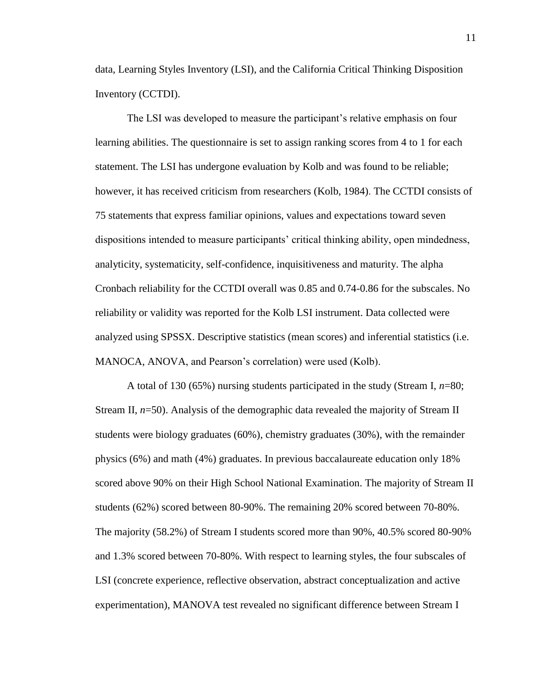data, Learning Styles Inventory (LSI), and the California Critical Thinking Disposition Inventory (CCTDI).

The LSI was developed to measure the participant's relative emphasis on four learning abilities. The questionnaire is set to assign ranking scores from 4 to 1 for each statement. The LSI has undergone evaluation by Kolb and was found to be reliable; however, it has received criticism from researchers (Kolb, 1984). The CCTDI consists of 75 statements that express familiar opinions, values and expectations toward seven dispositions intended to measure participants' critical thinking ability, open mindedness, analyticity, systematicity, self-confidence, inquisitiveness and maturity. The alpha Cronbach reliability for the CCTDI overall was 0.85 and 0.74-0.86 for the subscales. No reliability or validity was reported for the Kolb LSI instrument. Data collected were analyzed using SPSSX. Descriptive statistics (mean scores) and inferential statistics (i.e. MANOCA, ANOVA, and Pearson's correlation) were used (Kolb).

A total of 130 (65%) nursing students participated in the study (Stream I, *n*=80; Stream II,  $n=50$ ). Analysis of the demographic data revealed the majority of Stream II students were biology graduates (60%), chemistry graduates (30%), with the remainder physics (6%) and math (4%) graduates. In previous baccalaureate education only 18% scored above 90% on their High School National Examination. The majority of Stream II students (62%) scored between 80-90%. The remaining 20% scored between 70-80%. The majority (58.2%) of Stream I students scored more than 90%, 40.5% scored 80-90% and 1.3% scored between 70-80%. With respect to learning styles, the four subscales of LSI (concrete experience, reflective observation, abstract conceptualization and active experimentation), MANOVA test revealed no significant difference between Stream I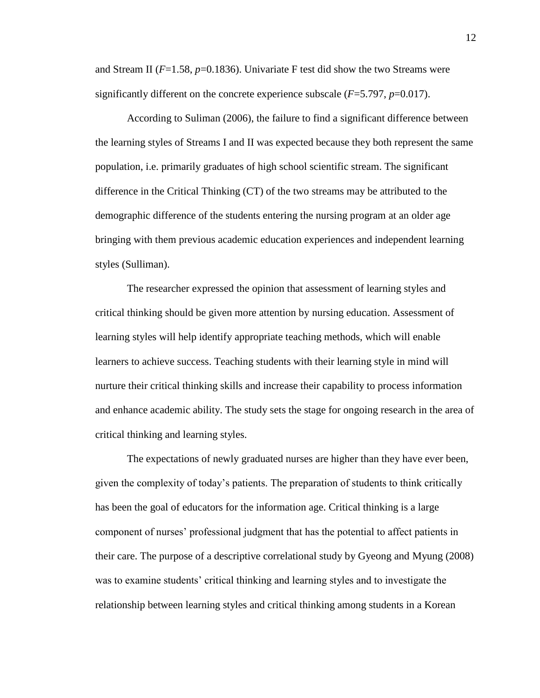and Stream II (*F*=1.58, *p*=0.1836). Univariate F test did show the two Streams were significantly different on the concrete experience subscale  $(F=5.797, p=0.017)$ .

According to Suliman (2006), the failure to find a significant difference between the learning styles of Streams I and II was expected because they both represent the same population, i.e. primarily graduates of high school scientific stream. The significant difference in the Critical Thinking (CT) of the two streams may be attributed to the demographic difference of the students entering the nursing program at an older age bringing with them previous academic education experiences and independent learning styles (Sulliman).

The researcher expressed the opinion that assessment of learning styles and critical thinking should be given more attention by nursing education. Assessment of learning styles will help identify appropriate teaching methods, which will enable learners to achieve success. Teaching students with their learning style in mind will nurture their critical thinking skills and increase their capability to process information and enhance academic ability. The study sets the stage for ongoing research in the area of critical thinking and learning styles.

The expectations of newly graduated nurses are higher than they have ever been, given the complexity of today's patients. The preparation of students to think critically has been the goal of educators for the information age. Critical thinking is a large component of nurses' professional judgment that has the potential to affect patients in their care. The purpose of a descriptive correlational study by Gyeong and Myung (2008) was to examine students' critical thinking and learning styles and to investigate the relationship between learning styles and critical thinking among students in a Korean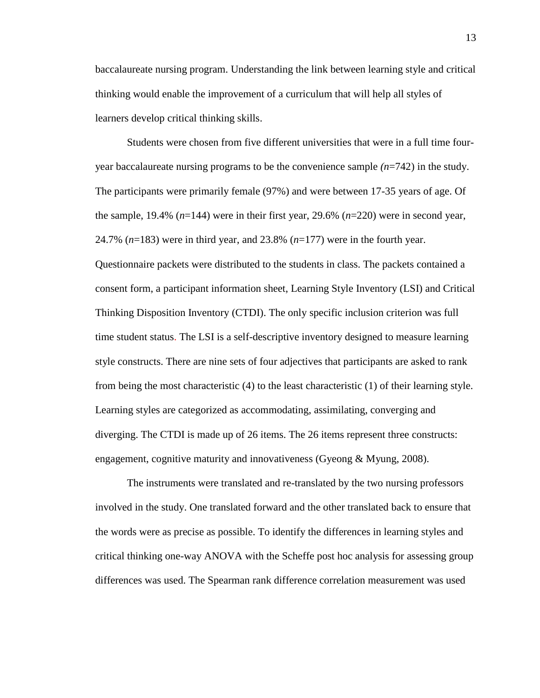baccalaureate nursing program. Understanding the link between learning style and critical thinking would enable the improvement of a curriculum that will help all styles of learners develop critical thinking skills.

Students were chosen from five different universities that were in a full time fouryear baccalaureate nursing programs to be the convenience sample *(n*=742) in the study. The participants were primarily female (97%) and were between 17-35 years of age. Of the sample, 19.4% (*n*=144) were in their first year, 29.6% (*n*=220) were in second year, 24.7% (*n*=183) were in third year, and 23.8% (*n*=177) were in the fourth year. Questionnaire packets were distributed to the students in class. The packets contained a consent form, a participant information sheet, Learning Style Inventory (LSI) and Critical Thinking Disposition Inventory (CTDI). The only specific inclusion criterion was full time student status. The LSI is a self-descriptive inventory designed to measure learning style constructs. There are nine sets of four adjectives that participants are asked to rank from being the most characteristic (4) to the least characteristic (1) of their learning style. Learning styles are categorized as accommodating, assimilating, converging and diverging. The CTDI is made up of 26 items. The 26 items represent three constructs: engagement, cognitive maturity and innovativeness (Gyeong & Myung, 2008).

The instruments were translated and re-translated by the two nursing professors involved in the study. One translated forward and the other translated back to ensure that the words were as precise as possible. To identify the differences in learning styles and critical thinking one-way ANOVA with the Scheffe post hoc analysis for assessing group differences was used. The Spearman rank difference correlation measurement was used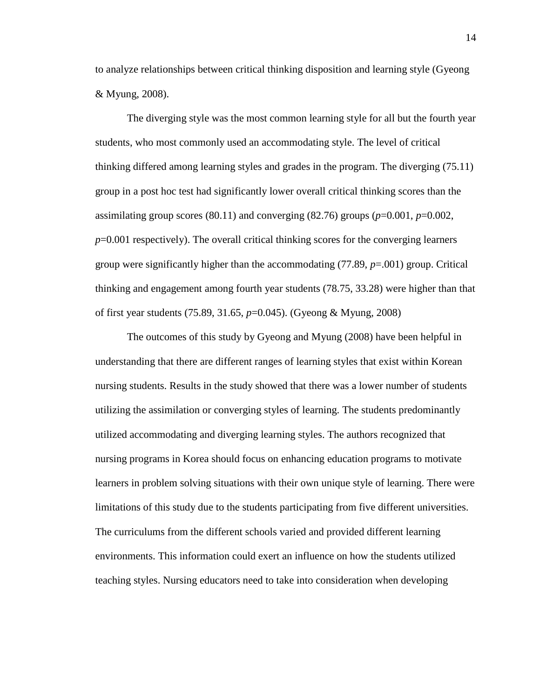to analyze relationships between critical thinking disposition and learning style (Gyeong & Myung, 2008).

The diverging style was the most common learning style for all but the fourth year students, who most commonly used an accommodating style. The level of critical thinking differed among learning styles and grades in the program. The diverging (75.11) group in a post hoc test had significantly lower overall critical thinking scores than the assimilating group scores (80.11) and converging (82.76) groups (*p*=0.001, *p*=0.002, *p*=0.001 respectively). The overall critical thinking scores for the converging learners group were significantly higher than the accommodating (77.89, *p*=.001) group. Critical thinking and engagement among fourth year students (78.75, 33.28) were higher than that of first year students (75.89, 31.65, *p*=0.045). (Gyeong & Myung, 2008)

The outcomes of this study by Gyeong and Myung (2008) have been helpful in understanding that there are different ranges of learning styles that exist within Korean nursing students. Results in the study showed that there was a lower number of students utilizing the assimilation or converging styles of learning. The students predominantly utilized accommodating and diverging learning styles. The authors recognized that nursing programs in Korea should focus on enhancing education programs to motivate learners in problem solving situations with their own unique style of learning. There were limitations of this study due to the students participating from five different universities. The curriculums from the different schools varied and provided different learning environments. This information could exert an influence on how the students utilized teaching styles. Nursing educators need to take into consideration when developing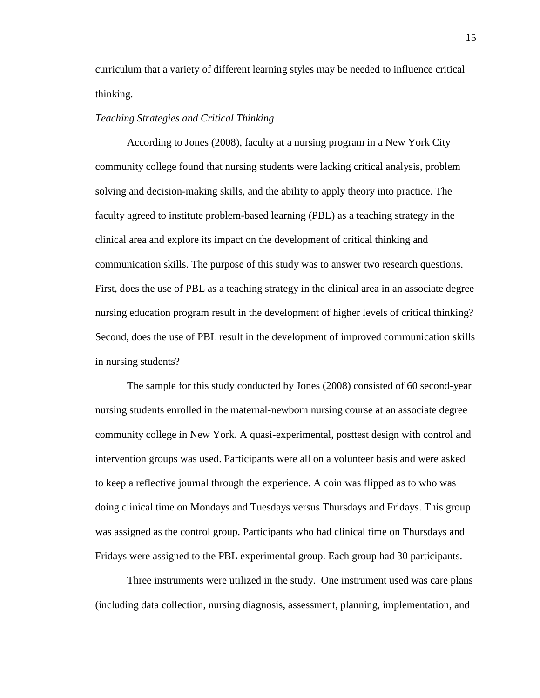curriculum that a variety of different learning styles may be needed to influence critical thinking.

# *Teaching Strategies and Critical Thinking*

According to Jones (2008), faculty at a nursing program in a New York City community college found that nursing students were lacking critical analysis, problem solving and decision-making skills, and the ability to apply theory into practice. The faculty agreed to institute problem-based learning (PBL) as a teaching strategy in the clinical area and explore its impact on the development of critical thinking and communication skills. The purpose of this study was to answer two research questions. First, does the use of PBL as a teaching strategy in the clinical area in an associate degree nursing education program result in the development of higher levels of critical thinking? Second, does the use of PBL result in the development of improved communication skills in nursing students?

The sample for this study conducted by Jones (2008) consisted of 60 second-year nursing students enrolled in the maternal-newborn nursing course at an associate degree community college in New York. A quasi-experimental, posttest design with control and intervention groups was used. Participants were all on a volunteer basis and were asked to keep a reflective journal through the experience. A coin was flipped as to who was doing clinical time on Mondays and Tuesdays versus Thursdays and Fridays. This group was assigned as the control group. Participants who had clinical time on Thursdays and Fridays were assigned to the PBL experimental group. Each group had 30 participants.

Three instruments were utilized in the study. One instrument used was care plans (including data collection, nursing diagnosis, assessment, planning, implementation, and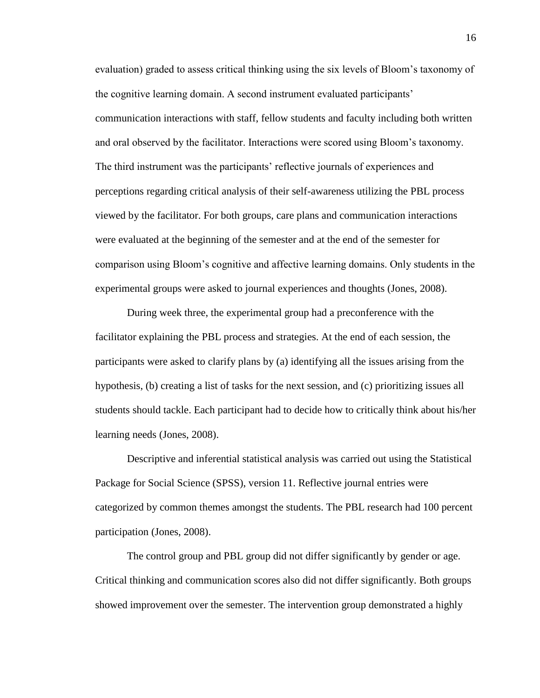evaluation) graded to assess critical thinking using the six levels of Bloom's taxonomy of the cognitive learning domain. A second instrument evaluated participants' communication interactions with staff, fellow students and faculty including both written and oral observed by the facilitator. Interactions were scored using Bloom's taxonomy. The third instrument was the participants' reflective journals of experiences and perceptions regarding critical analysis of their self-awareness utilizing the PBL process viewed by the facilitator. For both groups, care plans and communication interactions were evaluated at the beginning of the semester and at the end of the semester for comparison using Bloom's cognitive and affective learning domains. Only students in the experimental groups were asked to journal experiences and thoughts (Jones, 2008).

During week three, the experimental group had a preconference with the facilitator explaining the PBL process and strategies. At the end of each session, the participants were asked to clarify plans by (a) identifying all the issues arising from the hypothesis, (b) creating a list of tasks for the next session, and (c) prioritizing issues all students should tackle. Each participant had to decide how to critically think about his/her learning needs (Jones, 2008).

Descriptive and inferential statistical analysis was carried out using the Statistical Package for Social Science (SPSS), version 11. Reflective journal entries were categorized by common themes amongst the students. The PBL research had 100 percent participation (Jones, 2008).

The control group and PBL group did not differ significantly by gender or age. Critical thinking and communication scores also did not differ significantly. Both groups showed improvement over the semester. The intervention group demonstrated a highly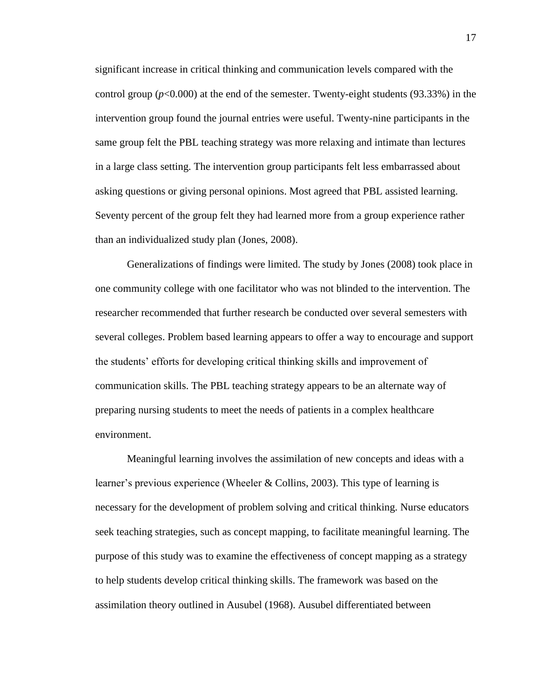significant increase in critical thinking and communication levels compared with the control group  $(p<0.000)$  at the end of the semester. Twenty-eight students  $(93.33\%)$  in the intervention group found the journal entries were useful. Twenty-nine participants in the same group felt the PBL teaching strategy was more relaxing and intimate than lectures in a large class setting. The intervention group participants felt less embarrassed about asking questions or giving personal opinions. Most agreed that PBL assisted learning. Seventy percent of the group felt they had learned more from a group experience rather than an individualized study plan (Jones, 2008).

Generalizations of findings were limited. The study by Jones (2008) took place in one community college with one facilitator who was not blinded to the intervention. The researcher recommended that further research be conducted over several semesters with several colleges. Problem based learning appears to offer a way to encourage and support the students' efforts for developing critical thinking skills and improvement of communication skills. The PBL teaching strategy appears to be an alternate way of preparing nursing students to meet the needs of patients in a complex healthcare environment.

Meaningful learning involves the assimilation of new concepts and ideas with a learner's previous experience (Wheeler & Collins, 2003). This type of learning is necessary for the development of problem solving and critical thinking. Nurse educators seek teaching strategies, such as concept mapping, to facilitate meaningful learning. The purpose of this study was to examine the effectiveness of concept mapping as a strategy to help students develop critical thinking skills. The framework was based on the assimilation theory outlined in Ausubel (1968). Ausubel differentiated between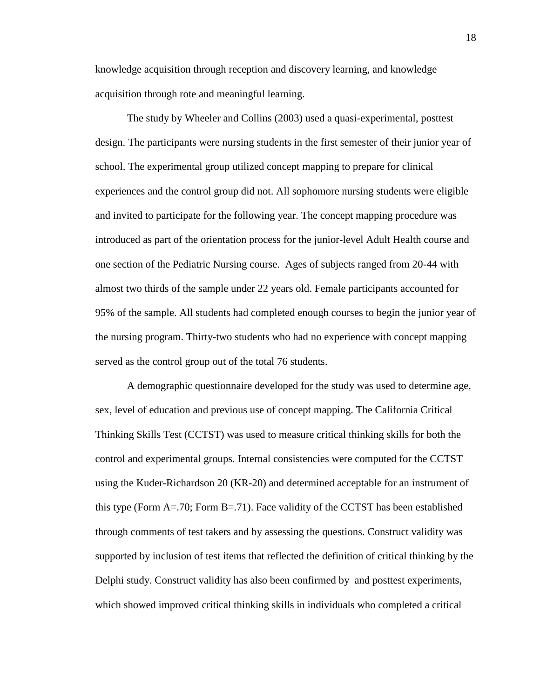knowledge acquisition through reception and discovery learning, and knowledge acquisition through rote and meaningful learning.

The study by Wheeler and Collins (2003) used a quasi-experimental, posttest design. The participants were nursing students in the first semester of their junior year of school. The experimental group utilized concept mapping to prepare for clinical experiences and the control group did not. All sophomore nursing students were eligible and invited to participate for the following year. The concept mapping procedure was introduced as part of the orientation process for the junior-level Adult Health course and one section of the Pediatric Nursing course. Ages of subjects ranged from 20-44 with almost two thirds of the sample under 22 years old. Female participants accounted for 95% of the sample. All students had completed enough courses to begin the junior year of the nursing program. Thirty-two students who had no experience with concept mapping served as the control group out of the total 76 students.

A demographic questionnaire developed for the study was used to determine age, sex, level of education and previous use of concept mapping. The California Critical Thinking Skills Test (CCTST) was used to measure critical thinking skills for both the control and experimental groups. Internal consistencies were computed for the CCTST using the Kuder-Richardson 20 (KR-20) and determined acceptable for an instrument of this type (Form  $A = .70$ ; Form  $B = .71$ ). Face validity of the CCTST has been established through comments of test takers and by assessing the questions. Construct validity was supported by inclusion of test items that reflected the definition of critical thinking by the Delphi study. Construct validity has also been confirmed by and posttest experiments, which showed improved critical thinking skills in individuals who completed a critical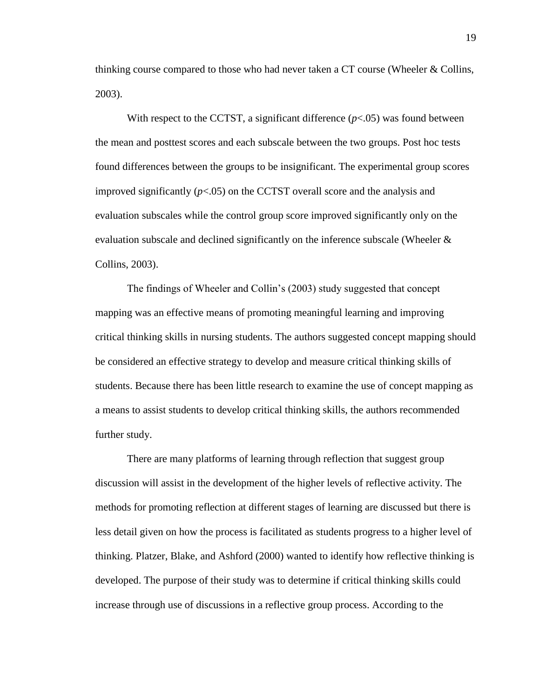thinking course compared to those who had never taken a CT course (Wheeler & Collins, 2003).

With respect to the CCTST, a significant difference  $(p<0.05)$  was found between the mean and posttest scores and each subscale between the two groups. Post hoc tests found differences between the groups to be insignificant. The experimental group scores improved significantly  $(p<0.05)$  on the CCTST overall score and the analysis and evaluation subscales while the control group score improved significantly only on the evaluation subscale and declined significantly on the inference subscale (Wheeler & Collins, 2003).

The findings of Wheeler and Collin's (2003) study suggested that concept mapping was an effective means of promoting meaningful learning and improving critical thinking skills in nursing students. The authors suggested concept mapping should be considered an effective strategy to develop and measure critical thinking skills of students. Because there has been little research to examine the use of concept mapping as a means to assist students to develop critical thinking skills, the authors recommended further study.

There are many platforms of learning through reflection that suggest group discussion will assist in the development of the higher levels of reflective activity. The methods for promoting reflection at different stages of learning are discussed but there is less detail given on how the process is facilitated as students progress to a higher level of thinking. Platzer, Blake, and Ashford (2000) wanted to identify how reflective thinking is developed. The purpose of their study was to determine if critical thinking skills could increase through use of discussions in a reflective group process. According to the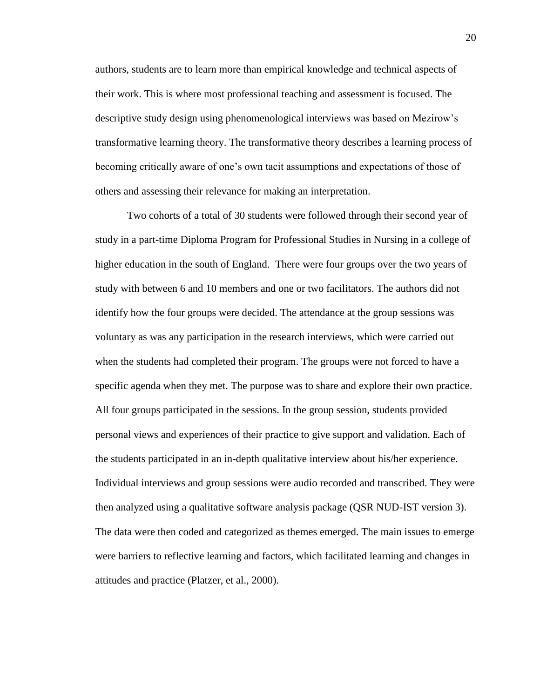authors, students are to learn more than empirical knowledge and technical aspects of their work. This is where most professional teaching and assessment is focused. The descriptive study design using phenomenological interviews was based on Mezirow's transformative learning theory. The transformative theory describes a learning process of becoming critically aware of one's own tacit assumptions and expectations of those of others and assessing their relevance for making an interpretation.

Two cohorts of a total of 30 students were followed through their second year of study in a part-time Diploma Program for Professional Studies in Nursing in a college of higher education in the south of England. There were four groups over the two years of study with between 6 and 10 members and one or two facilitators. The authors did not identify how the four groups were decided. The attendance at the group sessions was voluntary as was any participation in the research interviews, which were carried out when the students had completed their program. The groups were not forced to have a specific agenda when they met. The purpose was to share and explore their own practice. All four groups participated in the sessions. In the group session, students provided personal views and experiences of their practice to give support and validation. Each of the students participated in an in-depth qualitative interview about his/her experience. Individual interviews and group sessions were audio recorded and transcribed. They were then analyzed using a qualitative software analysis package (QSR NUD-IST version 3). The data were then coded and categorized as themes emerged. The main issues to emerge were barriers to reflective learning and factors, which facilitated learning and changes in attitudes and practice (Platzer, et al., 2000).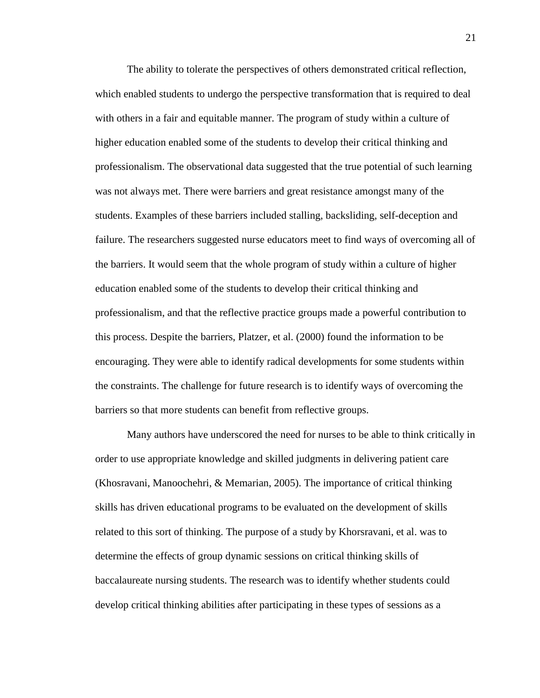The ability to tolerate the perspectives of others demonstrated critical reflection, which enabled students to undergo the perspective transformation that is required to deal with others in a fair and equitable manner. The program of study within a culture of higher education enabled some of the students to develop their critical thinking and professionalism. The observational data suggested that the true potential of such learning was not always met. There were barriers and great resistance amongst many of the students. Examples of these barriers included stalling, backsliding, self-deception and failure. The researchers suggested nurse educators meet to find ways of overcoming all of the barriers. It would seem that the whole program of study within a culture of higher education enabled some of the students to develop their critical thinking and professionalism, and that the reflective practice groups made a powerful contribution to this process. Despite the barriers, Platzer, et al. (2000) found the information to be encouraging. They were able to identify radical developments for some students within the constraints. The challenge for future research is to identify ways of overcoming the barriers so that more students can benefit from reflective groups.

Many authors have underscored the need for nurses to be able to think critically in order to use appropriate knowledge and skilled judgments in delivering patient care (Khosravani, Manoochehri, & Memarian, 2005). The importance of critical thinking skills has driven educational programs to be evaluated on the development of skills related to this sort of thinking. The purpose of a study by Khorsravani, et al. was to determine the effects of group dynamic sessions on critical thinking skills of baccalaureate nursing students. The research was to identify whether students could develop critical thinking abilities after participating in these types of sessions as a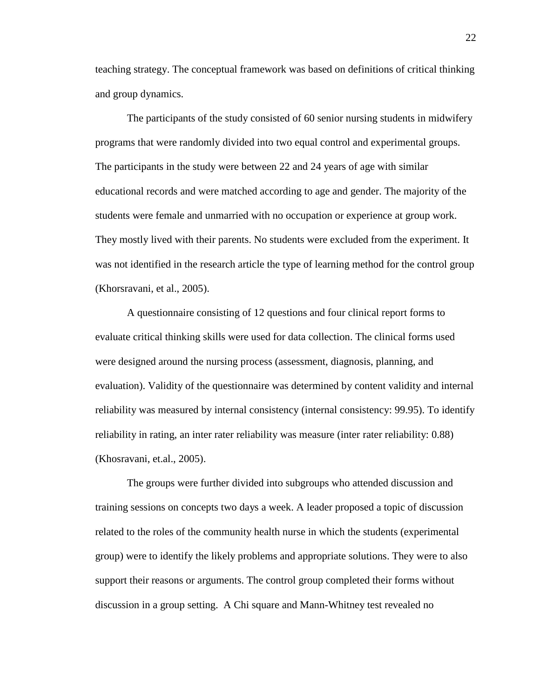teaching strategy. The conceptual framework was based on definitions of critical thinking and group dynamics.

The participants of the study consisted of 60 senior nursing students in midwifery programs that were randomly divided into two equal control and experimental groups. The participants in the study were between 22 and 24 years of age with similar educational records and were matched according to age and gender. The majority of the students were female and unmarried with no occupation or experience at group work. They mostly lived with their parents. No students were excluded from the experiment. It was not identified in the research article the type of learning method for the control group (Khorsravani, et al., 2005).

A questionnaire consisting of 12 questions and four clinical report forms to evaluate critical thinking skills were used for data collection. The clinical forms used were designed around the nursing process (assessment, diagnosis, planning, and evaluation). Validity of the questionnaire was determined by content validity and internal reliability was measured by internal consistency (internal consistency: 99.95). To identify reliability in rating, an inter rater reliability was measure (inter rater reliability: 0.88) (Khosravani, et.al., 2005).

The groups were further divided into subgroups who attended discussion and training sessions on concepts two days a week. A leader proposed a topic of discussion related to the roles of the community health nurse in which the students (experimental group) were to identify the likely problems and appropriate solutions. They were to also support their reasons or arguments. The control group completed their forms without discussion in a group setting. A Chi square and Mann-Whitney test revealed no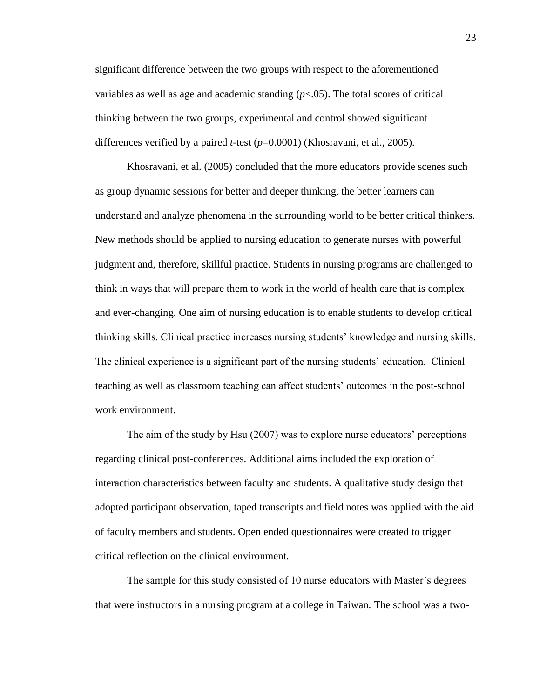significant difference between the two groups with respect to the aforementioned variables as well as age and academic standing  $(p<.05)$ . The total scores of critical thinking between the two groups, experimental and control showed significant differences verified by a paired *t*-test (*p*=0.0001) (Khosravani, et al., 2005).

Khosravani, et al. (2005) concluded that the more educators provide scenes such as group dynamic sessions for better and deeper thinking, the better learners can understand and analyze phenomena in the surrounding world to be better critical thinkers. New methods should be applied to nursing education to generate nurses with powerful judgment and, therefore, skillful practice. Students in nursing programs are challenged to think in ways that will prepare them to work in the world of health care that is complex and ever-changing. One aim of nursing education is to enable students to develop critical thinking skills. Clinical practice increases nursing students' knowledge and nursing skills. The clinical experience is a significant part of the nursing students' education. Clinical teaching as well as classroom teaching can affect students' outcomes in the post-school work environment.

The aim of the study by Hsu (2007) was to explore nurse educators' perceptions regarding clinical post-conferences. Additional aims included the exploration of interaction characteristics between faculty and students. A qualitative study design that adopted participant observation, taped transcripts and field notes was applied with the aid of faculty members and students. Open ended questionnaires were created to trigger critical reflection on the clinical environment.

The sample for this study consisted of 10 nurse educators with Master's degrees that were instructors in a nursing program at a college in Taiwan. The school was a two-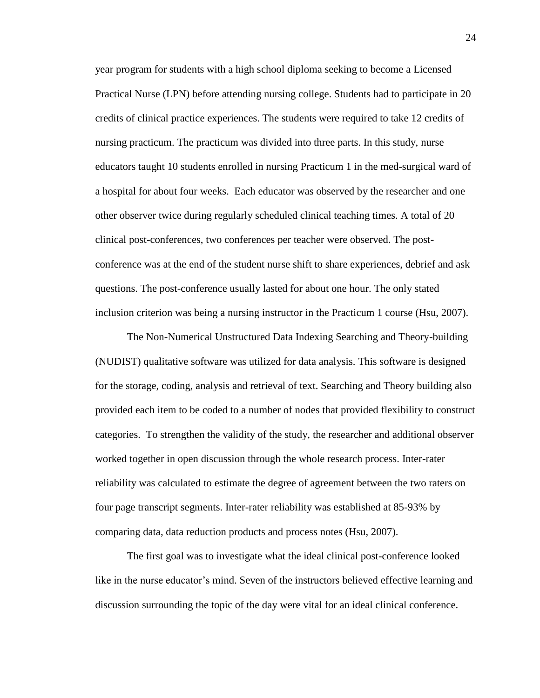year program for students with a high school diploma seeking to become a Licensed Practical Nurse (LPN) before attending nursing college. Students had to participate in 20 credits of clinical practice experiences. The students were required to take 12 credits of nursing practicum. The practicum was divided into three parts. In this study, nurse educators taught 10 students enrolled in nursing Practicum 1 in the med-surgical ward of a hospital for about four weeks. Each educator was observed by the researcher and one other observer twice during regularly scheduled clinical teaching times. A total of 20 clinical post-conferences, two conferences per teacher were observed. The postconference was at the end of the student nurse shift to share experiences, debrief and ask questions. The post-conference usually lasted for about one hour. The only stated inclusion criterion was being a nursing instructor in the Practicum 1 course (Hsu, 2007).

The Non-Numerical Unstructured Data Indexing Searching and Theory-building (NUDIST) qualitative software was utilized for data analysis. This software is designed for the storage, coding, analysis and retrieval of text. Searching and Theory building also provided each item to be coded to a number of nodes that provided flexibility to construct categories. To strengthen the validity of the study, the researcher and additional observer worked together in open discussion through the whole research process. Inter-rater reliability was calculated to estimate the degree of agreement between the two raters on four page transcript segments. Inter-rater reliability was established at 85-93% by comparing data, data reduction products and process notes (Hsu, 2007).

The first goal was to investigate what the ideal clinical post-conference looked like in the nurse educator's mind. Seven of the instructors believed effective learning and discussion surrounding the topic of the day were vital for an ideal clinical conference.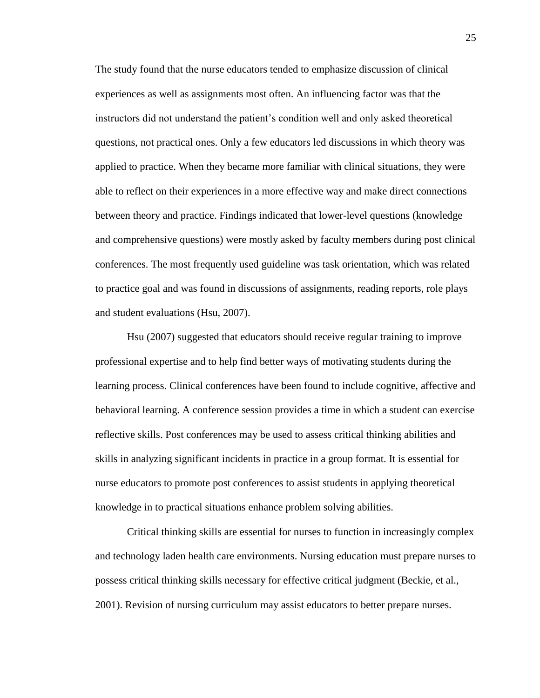The study found that the nurse educators tended to emphasize discussion of clinical experiences as well as assignments most often. An influencing factor was that the instructors did not understand the patient's condition well and only asked theoretical questions, not practical ones. Only a few educators led discussions in which theory was applied to practice. When they became more familiar with clinical situations, they were able to reflect on their experiences in a more effective way and make direct connections between theory and practice. Findings indicated that lower-level questions (knowledge and comprehensive questions) were mostly asked by faculty members during post clinical conferences. The most frequently used guideline was task orientation, which was related to practice goal and was found in discussions of assignments, reading reports, role plays and student evaluations (Hsu, 2007).

Hsu (2007) suggested that educators should receive regular training to improve professional expertise and to help find better ways of motivating students during the learning process. Clinical conferences have been found to include cognitive, affective and behavioral learning. A conference session provides a time in which a student can exercise reflective skills. Post conferences may be used to assess critical thinking abilities and skills in analyzing significant incidents in practice in a group format. It is essential for nurse educators to promote post conferences to assist students in applying theoretical knowledge in to practical situations enhance problem solving abilities.

Critical thinking skills are essential for nurses to function in increasingly complex and technology laden health care environments. Nursing education must prepare nurses to possess critical thinking skills necessary for effective critical judgment (Beckie, et al., 2001). Revision of nursing curriculum may assist educators to better prepare nurses.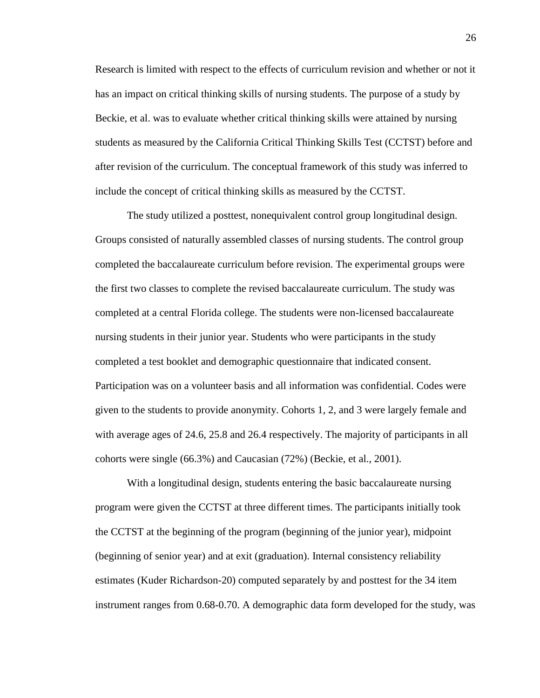Research is limited with respect to the effects of curriculum revision and whether or not it has an impact on critical thinking skills of nursing students. The purpose of a study by Beckie, et al. was to evaluate whether critical thinking skills were attained by nursing students as measured by the California Critical Thinking Skills Test (CCTST) before and after revision of the curriculum. The conceptual framework of this study was inferred to include the concept of critical thinking skills as measured by the CCTST.

The study utilized a posttest, nonequivalent control group longitudinal design. Groups consisted of naturally assembled classes of nursing students. The control group completed the baccalaureate curriculum before revision. The experimental groups were the first two classes to complete the revised baccalaureate curriculum. The study was completed at a central Florida college. The students were non-licensed baccalaureate nursing students in their junior year. Students who were participants in the study completed a test booklet and demographic questionnaire that indicated consent. Participation was on a volunteer basis and all information was confidential. Codes were given to the students to provide anonymity. Cohorts 1, 2, and 3 were largely female and with average ages of 24.6, 25.8 and 26.4 respectively. The majority of participants in all cohorts were single (66.3%) and Caucasian (72%) (Beckie, et al., 2001).

With a longitudinal design, students entering the basic baccalaureate nursing program were given the CCTST at three different times. The participants initially took the CCTST at the beginning of the program (beginning of the junior year), midpoint (beginning of senior year) and at exit (graduation). Internal consistency reliability estimates (Kuder Richardson-20) computed separately by and posttest for the 34 item instrument ranges from 0.68-0.70. A demographic data form developed for the study, was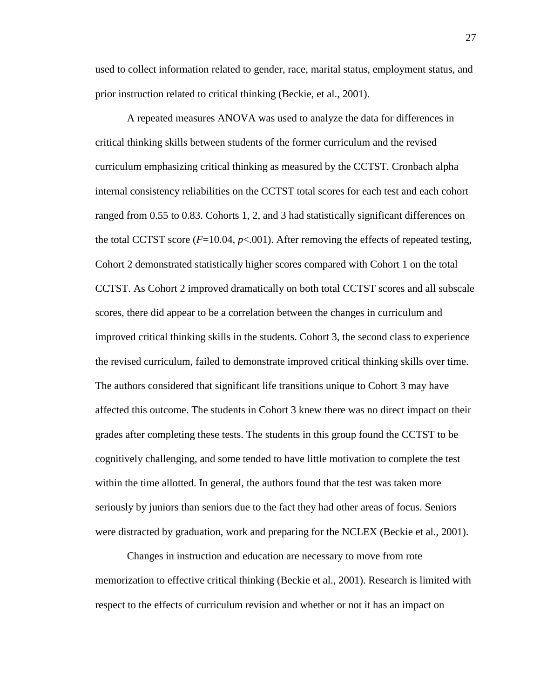used to collect information related to gender, race, marital status, employment status, and prior instruction related to critical thinking (Beckie, et al., 2001).

A repeated measures ANOVA was used to analyze the data for differences in critical thinking skills between students of the former curriculum and the revised curriculum emphasizing critical thinking as measured by the CCTST. Cronbach alpha internal consistency reliabilities on the CCTST total scores for each test and each cohort ranged from 0.55 to 0.83. Cohorts 1, 2, and 3 had statistically significant differences on the total CCTST score  $(F=10.04, p<0.01)$ . After removing the effects of repeated testing, Cohort 2 demonstrated statistically higher scores compared with Cohort 1 on the total CCTST. As Cohort 2 improved dramatically on both total CCTST scores and all subscale scores, there did appear to be a correlation between the changes in curriculum and improved critical thinking skills in the students. Cohort 3, the second class to experience the revised curriculum, failed to demonstrate improved critical thinking skills over time. The authors considered that significant life transitions unique to Cohort 3 may have affected this outcome. The students in Cohort 3 knew there was no direct impact on their grades after completing these tests. The students in this group found the CCTST to be cognitively challenging, and some tended to have little motivation to complete the test within the time allotted. In general, the authors found that the test was taken more seriously by juniors than seniors due to the fact they had other areas of focus. Seniors were distracted by graduation, work and preparing for the NCLEX (Beckie et al., 2001).

Changes in instruction and education are necessary to move from rote memorization to effective critical thinking (Beckie et al., 2001). Research is limited with respect to the effects of curriculum revision and whether or not it has an impact on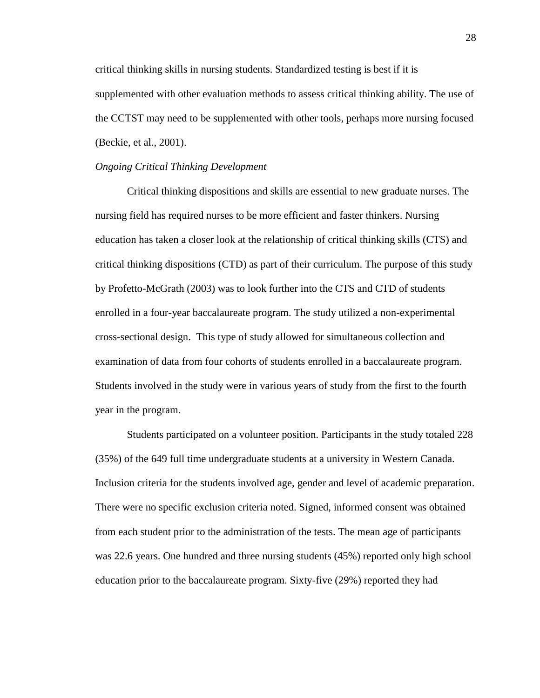critical thinking skills in nursing students. Standardized testing is best if it is supplemented with other evaluation methods to assess critical thinking ability. The use of the CCTST may need to be supplemented with other tools, perhaps more nursing focused (Beckie, et al., 2001).

#### *Ongoing Critical Thinking Development*

Critical thinking dispositions and skills are essential to new graduate nurses. The nursing field has required nurses to be more efficient and faster thinkers. Nursing education has taken a closer look at the relationship of critical thinking skills (CTS) and critical thinking dispositions (CTD) as part of their curriculum. The purpose of this study by Profetto-McGrath (2003) was to look further into the CTS and CTD of students enrolled in a four-year baccalaureate program. The study utilized a non-experimental cross-sectional design. This type of study allowed for simultaneous collection and examination of data from four cohorts of students enrolled in a baccalaureate program. Students involved in the study were in various years of study from the first to the fourth year in the program.

Students participated on a volunteer position. Participants in the study totaled 228 (35%) of the 649 full time undergraduate students at a university in Western Canada. Inclusion criteria for the students involved age, gender and level of academic preparation. There were no specific exclusion criteria noted. Signed, informed consent was obtained from each student prior to the administration of the tests. The mean age of participants was 22.6 years. One hundred and three nursing students (45%) reported only high school education prior to the baccalaureate program. Sixty-five (29%) reported they had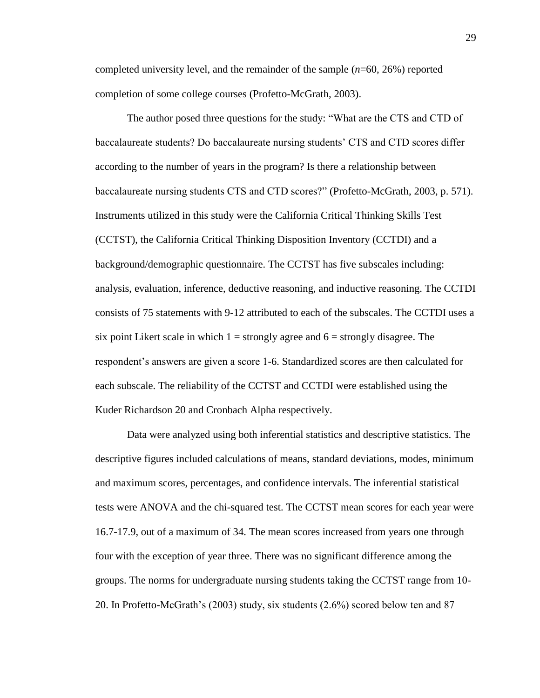completed university level, and the remainder of the sample (*n*=60, 26%) reported completion of some college courses (Profetto-McGrath, 2003).

The author posed three questions for the study: "What are the CTS and CTD of baccalaureate students? Do baccalaureate nursing students' CTS and CTD scores differ according to the number of years in the program? Is there a relationship between baccalaureate nursing students CTS and CTD scores?" (Profetto-McGrath, 2003, p. 571). Instruments utilized in this study were the California Critical Thinking Skills Test (CCTST), the California Critical Thinking Disposition Inventory (CCTDI) and a background/demographic questionnaire. The CCTST has five subscales including: analysis, evaluation, inference, deductive reasoning, and inductive reasoning. The CCTDI consists of 75 statements with 9-12 attributed to each of the subscales. The CCTDI uses a six point Likert scale in which  $1 =$  strongly agree and  $6 =$  strongly disagree. The respondent's answers are given a score 1-6. Standardized scores are then calculated for each subscale. The reliability of the CCTST and CCTDI were established using the Kuder Richardson 20 and Cronbach Alpha respectively.

Data were analyzed using both inferential statistics and descriptive statistics. The descriptive figures included calculations of means, standard deviations, modes, minimum and maximum scores, percentages, and confidence intervals. The inferential statistical tests were ANOVA and the chi-squared test. The CCTST mean scores for each year were 16.7-17.9, out of a maximum of 34. The mean scores increased from years one through four with the exception of year three. There was no significant difference among the groups. The norms for undergraduate nursing students taking the CCTST range from 10- 20. In Profetto-McGrath's (2003) study, six students (2.6%) scored below ten and 87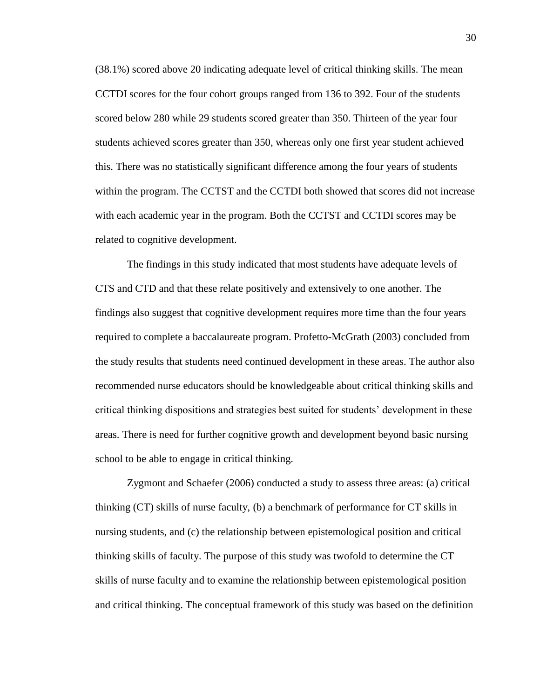(38.1%) scored above 20 indicating adequate level of critical thinking skills. The mean CCTDI scores for the four cohort groups ranged from 136 to 392. Four of the students scored below 280 while 29 students scored greater than 350. Thirteen of the year four students achieved scores greater than 350, whereas only one first year student achieved this. There was no statistically significant difference among the four years of students within the program. The CCTST and the CCTDI both showed that scores did not increase with each academic year in the program. Both the CCTST and CCTDI scores may be related to cognitive development.

The findings in this study indicated that most students have adequate levels of CTS and CTD and that these relate positively and extensively to one another. The findings also suggest that cognitive development requires more time than the four years required to complete a baccalaureate program. Profetto-McGrath (2003) concluded from the study results that students need continued development in these areas. The author also recommended nurse educators should be knowledgeable about critical thinking skills and critical thinking dispositions and strategies best suited for students' development in these areas. There is need for further cognitive growth and development beyond basic nursing school to be able to engage in critical thinking.

Zygmont and Schaefer (2006) conducted a study to assess three areas: (a) critical thinking (CT) skills of nurse faculty, (b) a benchmark of performance for CT skills in nursing students, and (c) the relationship between epistemological position and critical thinking skills of faculty. The purpose of this study was twofold to determine the CT skills of nurse faculty and to examine the relationship between epistemological position and critical thinking. The conceptual framework of this study was based on the definition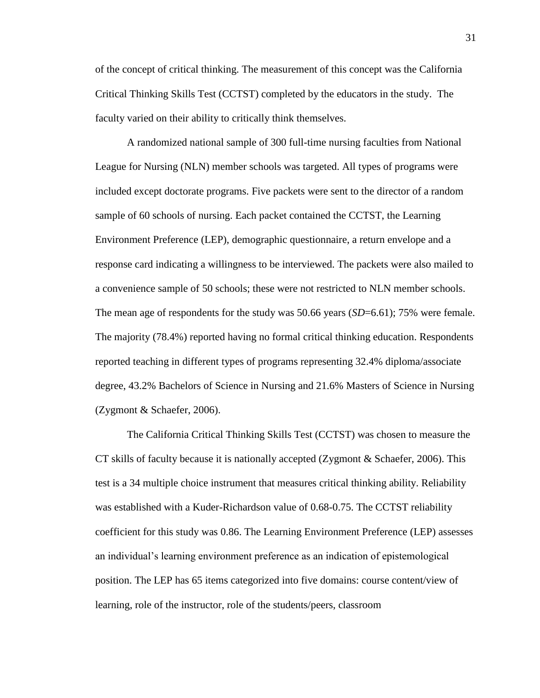of the concept of critical thinking. The measurement of this concept was the California Critical Thinking Skills Test (CCTST) completed by the educators in the study. The faculty varied on their ability to critically think themselves.

A randomized national sample of 300 full-time nursing faculties from National League for Nursing (NLN) member schools was targeted. All types of programs were included except doctorate programs. Five packets were sent to the director of a random sample of 60 schools of nursing. Each packet contained the CCTST, the Learning Environment Preference (LEP), demographic questionnaire, a return envelope and a response card indicating a willingness to be interviewed. The packets were also mailed to a convenience sample of 50 schools; these were not restricted to NLN member schools. The mean age of respondents for the study was 50.66 years (*SD*=6.61); 75% were female. The majority (78.4%) reported having no formal critical thinking education. Respondents reported teaching in different types of programs representing 32.4% diploma/associate degree, 43.2% Bachelors of Science in Nursing and 21.6% Masters of Science in Nursing (Zygmont & Schaefer, 2006).

The California Critical Thinking Skills Test (CCTST) was chosen to measure the CT skills of faculty because it is nationally accepted (Zygmont & Schaefer, 2006). This test is a 34 multiple choice instrument that measures critical thinking ability. Reliability was established with a Kuder-Richardson value of 0.68-0.75. The CCTST reliability coefficient for this study was 0.86. The Learning Environment Preference (LEP) assesses an individual's learning environment preference as an indication of epistemological position. The LEP has 65 items categorized into five domains: course content/view of learning, role of the instructor, role of the students/peers, classroom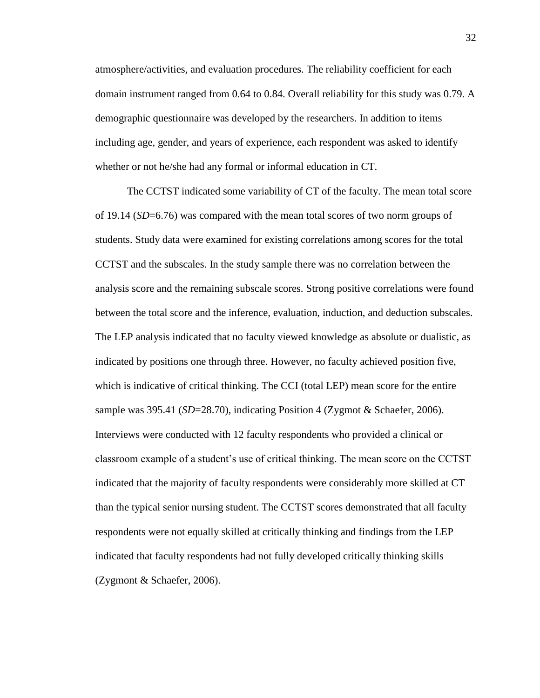atmosphere/activities, and evaluation procedures. The reliability coefficient for each domain instrument ranged from 0.64 to 0.84. Overall reliability for this study was 0.79. A demographic questionnaire was developed by the researchers. In addition to items including age, gender, and years of experience, each respondent was asked to identify whether or not he/she had any formal or informal education in CT.

The CCTST indicated some variability of CT of the faculty. The mean total score of 19.14 (*SD*=6.76) was compared with the mean total scores of two norm groups of students. Study data were examined for existing correlations among scores for the total CCTST and the subscales. In the study sample there was no correlation between the analysis score and the remaining subscale scores. Strong positive correlations were found between the total score and the inference, evaluation, induction, and deduction subscales. The LEP analysis indicated that no faculty viewed knowledge as absolute or dualistic, as indicated by positions one through three. However, no faculty achieved position five, which is indicative of critical thinking. The CCI (total LEP) mean score for the entire sample was 395.41 (*SD*=28.70), indicating Position 4 (Zygmot & Schaefer, 2006). Interviews were conducted with 12 faculty respondents who provided a clinical or classroom example of a student's use of critical thinking. The mean score on the CCTST indicated that the majority of faculty respondents were considerably more skilled at CT than the typical senior nursing student. The CCTST scores demonstrated that all faculty respondents were not equally skilled at critically thinking and findings from the LEP indicated that faculty respondents had not fully developed critically thinking skills (Zygmont & Schaefer, 2006).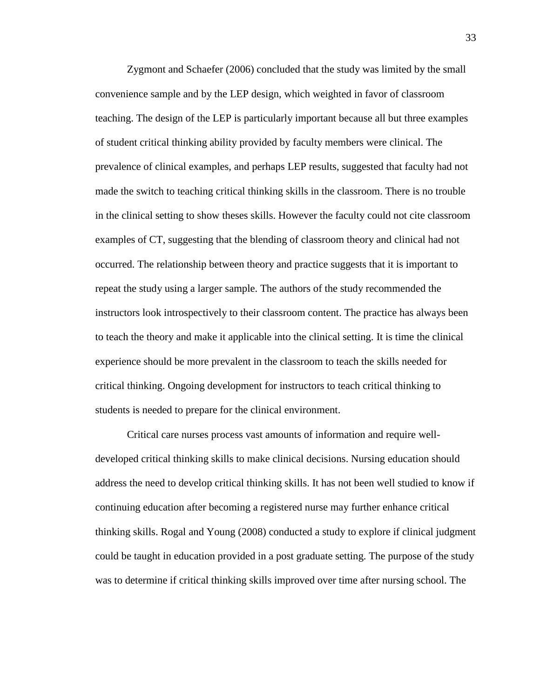Zygmont and Schaefer (2006) concluded that the study was limited by the small convenience sample and by the LEP design, which weighted in favor of classroom teaching. The design of the LEP is particularly important because all but three examples of student critical thinking ability provided by faculty members were clinical. The prevalence of clinical examples, and perhaps LEP results, suggested that faculty had not made the switch to teaching critical thinking skills in the classroom. There is no trouble in the clinical setting to show theses skills. However the faculty could not cite classroom examples of CT, suggesting that the blending of classroom theory and clinical had not occurred. The relationship between theory and practice suggests that it is important to repeat the study using a larger sample. The authors of the study recommended the instructors look introspectively to their classroom content. The practice has always been to teach the theory and make it applicable into the clinical setting. It is time the clinical experience should be more prevalent in the classroom to teach the skills needed for critical thinking. Ongoing development for instructors to teach critical thinking to students is needed to prepare for the clinical environment.

Critical care nurses process vast amounts of information and require welldeveloped critical thinking skills to make clinical decisions. Nursing education should address the need to develop critical thinking skills. It has not been well studied to know if continuing education after becoming a registered nurse may further enhance critical thinking skills. Rogal and Young (2008) conducted a study to explore if clinical judgment could be taught in education provided in a post graduate setting. The purpose of the study was to determine if critical thinking skills improved over time after nursing school. The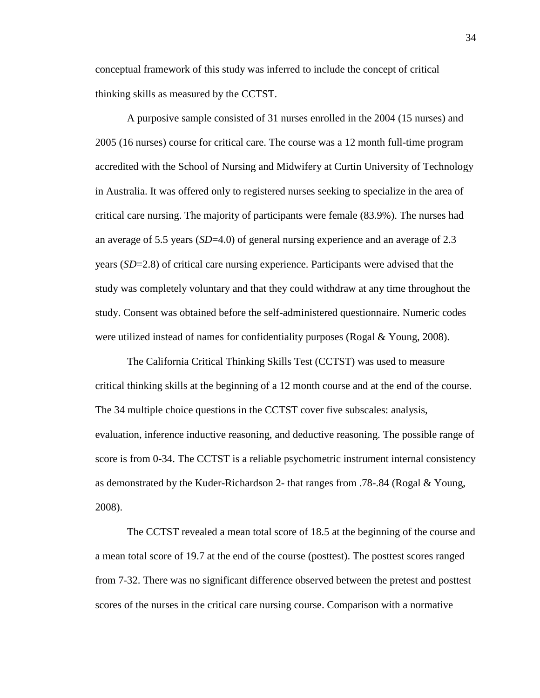conceptual framework of this study was inferred to include the concept of critical thinking skills as measured by the CCTST.

A purposive sample consisted of 31 nurses enrolled in the 2004 (15 nurses) and 2005 (16 nurses) course for critical care. The course was a 12 month full-time program accredited with the School of Nursing and Midwifery at Curtin University of Technology in Australia. It was offered only to registered nurses seeking to specialize in the area of critical care nursing. The majority of participants were female (83.9%). The nurses had an average of 5.5 years (*SD*=4.0) of general nursing experience and an average of 2.3 years (*SD*=2.8) of critical care nursing experience. Participants were advised that the study was completely voluntary and that they could withdraw at any time throughout the study. Consent was obtained before the self-administered questionnaire. Numeric codes were utilized instead of names for confidentiality purposes (Rogal & Young, 2008).

The California Critical Thinking Skills Test (CCTST) was used to measure critical thinking skills at the beginning of a 12 month course and at the end of the course. The 34 multiple choice questions in the CCTST cover five subscales: analysis, evaluation, inference inductive reasoning, and deductive reasoning. The possible range of score is from 0-34. The CCTST is a reliable psychometric instrument internal consistency as demonstrated by the Kuder-Richardson 2- that ranges from .78-.84 (Rogal & Young, 2008).

The CCTST revealed a mean total score of 18.5 at the beginning of the course and a mean total score of 19.7 at the end of the course (posttest). The posttest scores ranged from 7-32. There was no significant difference observed between the pretest and posttest scores of the nurses in the critical care nursing course. Comparison with a normative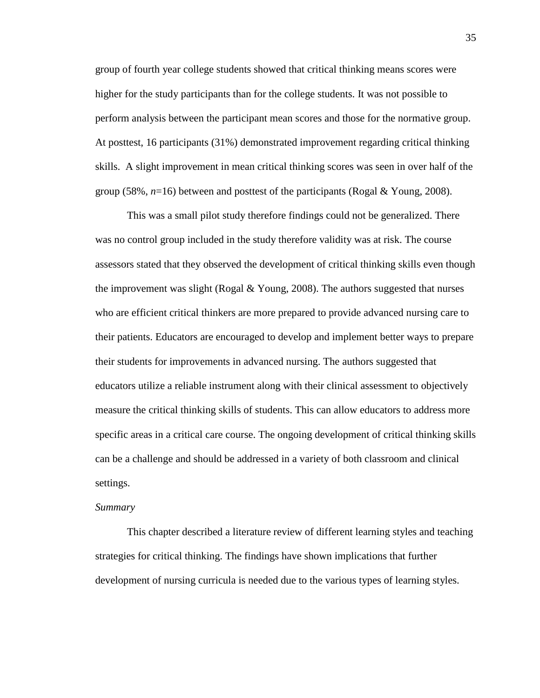group of fourth year college students showed that critical thinking means scores were higher for the study participants than for the college students. It was not possible to perform analysis between the participant mean scores and those for the normative group. At posttest, 16 participants (31%) demonstrated improvement regarding critical thinking skills. A slight improvement in mean critical thinking scores was seen in over half of the group (58%,  $n=16$ ) between and posttest of the participants (Rogal & Young, 2008).

This was a small pilot study therefore findings could not be generalized. There was no control group included in the study therefore validity was at risk. The course assessors stated that they observed the development of critical thinking skills even though the improvement was slight (Rogal & Young, 2008). The authors suggested that nurses who are efficient critical thinkers are more prepared to provide advanced nursing care to their patients. Educators are encouraged to develop and implement better ways to prepare their students for improvements in advanced nursing. The authors suggested that educators utilize a reliable instrument along with their clinical assessment to objectively measure the critical thinking skills of students. This can allow educators to address more specific areas in a critical care course. The ongoing development of critical thinking skills can be a challenge and should be addressed in a variety of both classroom and clinical settings.

#### *Summary*

This chapter described a literature review of different learning styles and teaching strategies for critical thinking. The findings have shown implications that further development of nursing curricula is needed due to the various types of learning styles.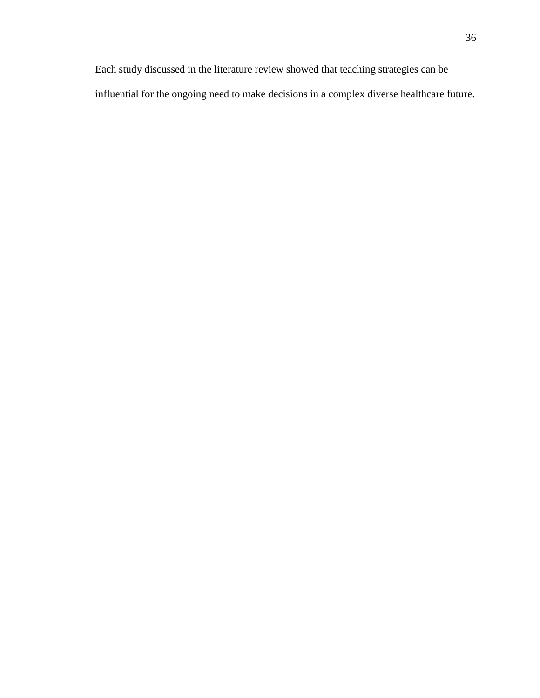Each study discussed in the literature review showed that teaching strategies can be influential for the ongoing need to make decisions in a complex diverse healthcare future.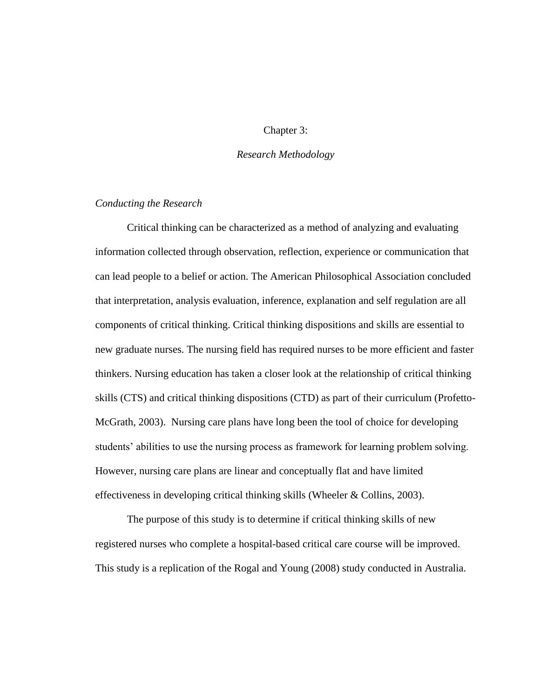# Chapter 3:

# *Research Methodology*

# *Conducting the Research*

Critical thinking can be characterized as a method of analyzing and evaluating information collected through observation, reflection, experience or communication that can lead people to a belief or action. The American Philosophical Association concluded that interpretation, analysis evaluation, inference, explanation and self regulation are all components of critical thinking. Critical thinking dispositions and skills are essential to new graduate nurses. The nursing field has required nurses to be more efficient and faster thinkers. Nursing education has taken a closer look at the relationship of critical thinking skills (CTS) and critical thinking dispositions (CTD) as part of their curriculum (Profetto-McGrath, 2003). Nursing care plans have long been the tool of choice for developing students' abilities to use the nursing process as framework for learning problem solving. However, nursing care plans are linear and conceptually flat and have limited effectiveness in developing critical thinking skills (Wheeler & Collins, 2003).

The purpose of this study is to determine if critical thinking skills of new registered nurses who complete a hospital-based critical care course will be improved. This study is a replication of the Rogal and Young (2008) study conducted in Australia.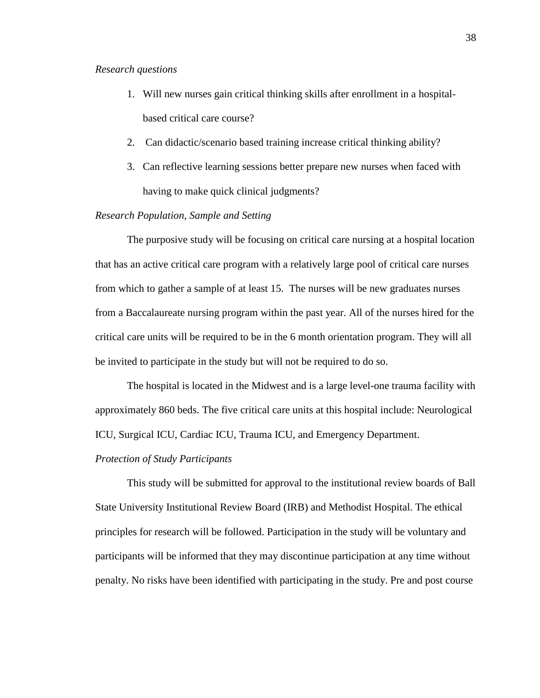## *Research questions*

- 1. Will new nurses gain critical thinking skills after enrollment in a hospitalbased critical care course?
- 2. Can didactic/scenario based training increase critical thinking ability?
- 3. Can reflective learning sessions better prepare new nurses when faced with having to make quick clinical judgments?

# *Research Population, Sample and Setting*

The purposive study will be focusing on critical care nursing at a hospital location that has an active critical care program with a relatively large pool of critical care nurses from which to gather a sample of at least 15. The nurses will be new graduates nurses from a Baccalaureate nursing program within the past year. All of the nurses hired for the critical care units will be required to be in the 6 month orientation program. They will all be invited to participate in the study but will not be required to do so.

The hospital is located in the Midwest and is a large level-one trauma facility with approximately 860 beds. The five critical care units at this hospital include: Neurological ICU, Surgical ICU, Cardiac ICU, Trauma ICU, and Emergency Department.

#### *Protection of Study Participants*

This study will be submitted for approval to the institutional review boards of Ball State University Institutional Review Board (IRB) and Methodist Hospital. The ethical principles for research will be followed. Participation in the study will be voluntary and participants will be informed that they may discontinue participation at any time without penalty. No risks have been identified with participating in the study. Pre and post course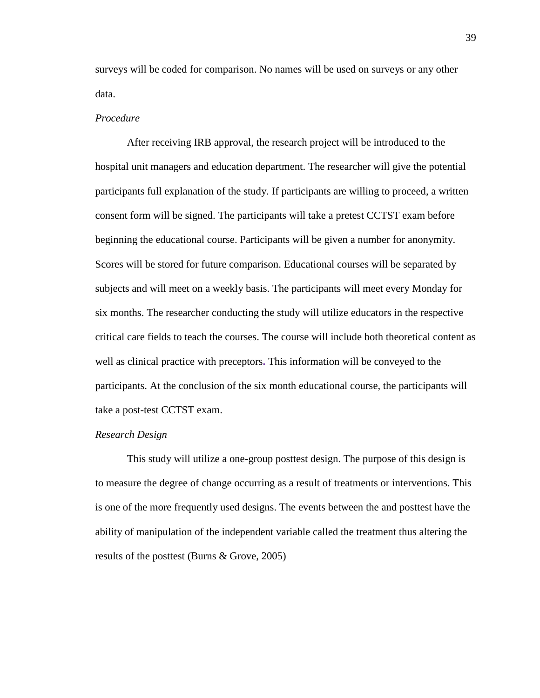surveys will be coded for comparison. No names will be used on surveys or any other data.

## *Procedure*

After receiving IRB approval, the research project will be introduced to the hospital unit managers and education department. The researcher will give the potential participants full explanation of the study. If participants are willing to proceed, a written consent form will be signed. The participants will take a pretest CCTST exam before beginning the educational course. Participants will be given a number for anonymity. Scores will be stored for future comparison. Educational courses will be separated by subjects and will meet on a weekly basis. The participants will meet every Monday for six months. The researcher conducting the study will utilize educators in the respective critical care fields to teach the courses. The course will include both theoretical content as well as clinical practice with preceptors**.** This information will be conveyed to the participants. At the conclusion of the six month educational course, the participants will take a post-test CCTST exam.

#### *Research Design*

This study will utilize a one-group posttest design. The purpose of this design is to measure the degree of change occurring as a result of treatments or interventions. This is one of the more frequently used designs. The events between the and posttest have the ability of manipulation of the independent variable called the treatment thus altering the results of the posttest (Burns & Grove, 2005)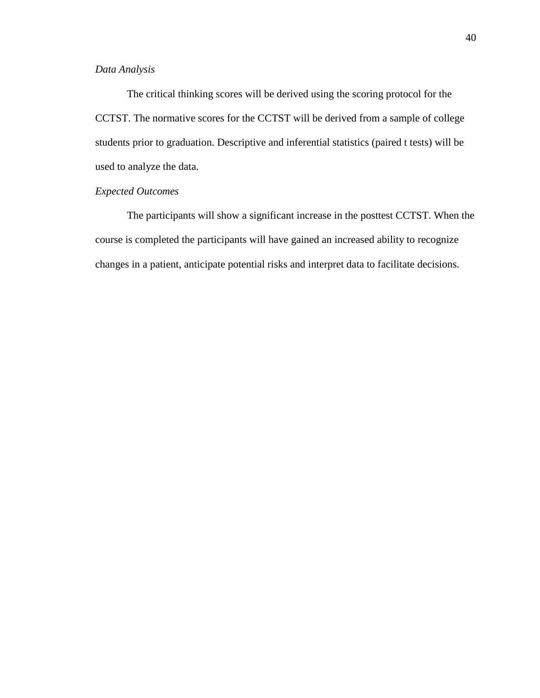# *Data Analysis*

The critical thinking scores will be derived using the scoring protocol for the CCTST. The normative scores for the CCTST will be derived from a sample of college students prior to graduation. Descriptive and inferential statistics (paired t tests) will be used to analyze the data.

# *Expected Outcomes*

The participants will show a significant increase in the posttest CCTST. When the course is completed the participants will have gained an increased ability to recognize changes in a patient, anticipate potential risks and interpret data to facilitate decisions.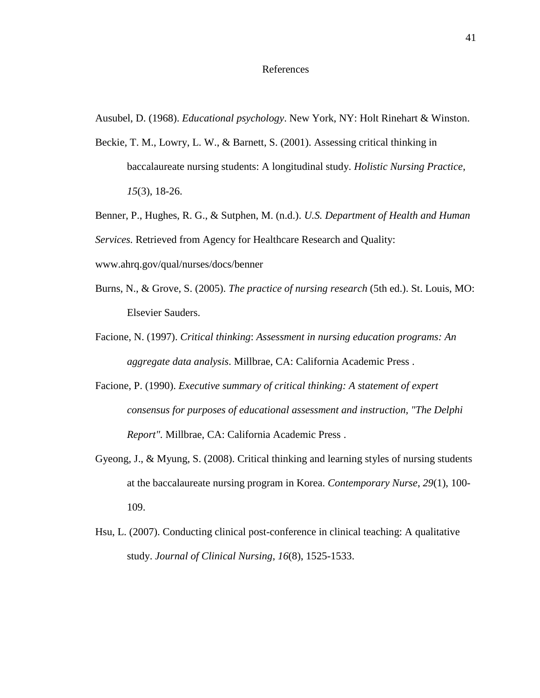#### References

Ausubel, D. (1968). *Educational psychology*. New York, NY: Holt Rinehart & Winston.

- Beckie, T. M., Lowry, L. W., & Barnett, S. (2001). Assessing critical thinking in baccalaureate nursing students: A longitudinal study. *Holistic Nursing Practice*, *15*(3), 18-26.
- Benner, P., Hughes, R. G., & Sutphen, M. (n.d.). *U.S. Department of Health and Human*

*Services.* Retrieved from Agency for Healthcare Research and Quality:

www.ahrq.gov/qual/nurses/docs/benner

- Burns, N., & Grove, S. (2005). *The practice of nursing research* (5th ed.). St. Louis, MO: Elsevier Sauders.
- Facione, N. (1997). *Critical thinking*: *Assessment in nursing education programs: An aggregate data analysis*. Millbrae, CA: California Academic Press .
- Facione, P. (1990). *Executive summary of critical thinking: A statement of expert consensus for purposes of educational assessment and instruction, "The Delphi Report".* Millbrae, CA: California Academic Press .
- Gyeong, J., & Myung, S. (2008). Critical thinking and learning styles of nursing students at the baccalaureate nursing program in Korea. *Contemporary Nurse*, *29*(1), 100- 109.
- Hsu, L. (2007). Conducting clinical post-conference in clinical teaching: A qualitative study. *Journal of Clinical Nursing*, *16*(8), 1525-1533.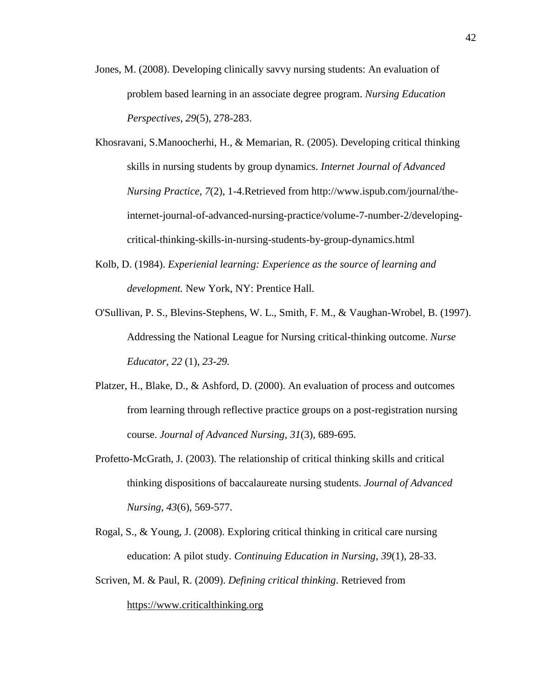- Jones, M. (2008). Developing clinically savvy nursing students: An evaluation of problem based learning in an associate degree program. *Nursing Education Perspectives*, *29*(5), 278-283.
- Khosravani, S.Manoocherhi, H., & Memarian, R. (2005). Developing critical thinking skills in nursing students by group dynamics. *Internet Journal of Advanced Nursing Practice*, *7*(2), 1-4.Retrieved from http://www.ispub.com/journal/theinternet-journal-of-advanced-nursing-practice/volume-7-number-2/developingcritical-thinking-skills-in-nursing-students-by-group-dynamics.html
- Kolb, D. (1984). *Experienial learning: Experience as the source of learning and development.* New York, NY: Prentice Hall.
- O'Sullivan, P. S., Blevins-Stephens, W. L., Smith, F. M., & Vaughan-Wrobel, B. (1997). Addressing the National League for Nursing critical-thinking outcome. *Nurse Educator, 22* (1), *23-29.*
- Platzer, H., Blake, D., & Ashford, D. (2000). An evaluation of process and outcomes from learning through reflective practice groups on a post-registration nursing course. *Journal of Advanced Nursing*, *31*(3), 689-695.
- Profetto-McGrath, J. (2003). The relationship of critical thinking skills and critical thinking dispositions of baccalaureate nursing students. *Journal of Advanced Nursing*, *43*(6), 569-577.
- Rogal, S., & Young, J. (2008). Exploring critical thinking in critical care nursing education: A pilot study. *Continuing Education in Nursing*, *39*(1), 28-33.
- Scriven, M. & Paul, R. (2009). *Defining critical thinking*. Retrieved from [https://www.criticalthinking.org](https://www.criticalthinking.org/)